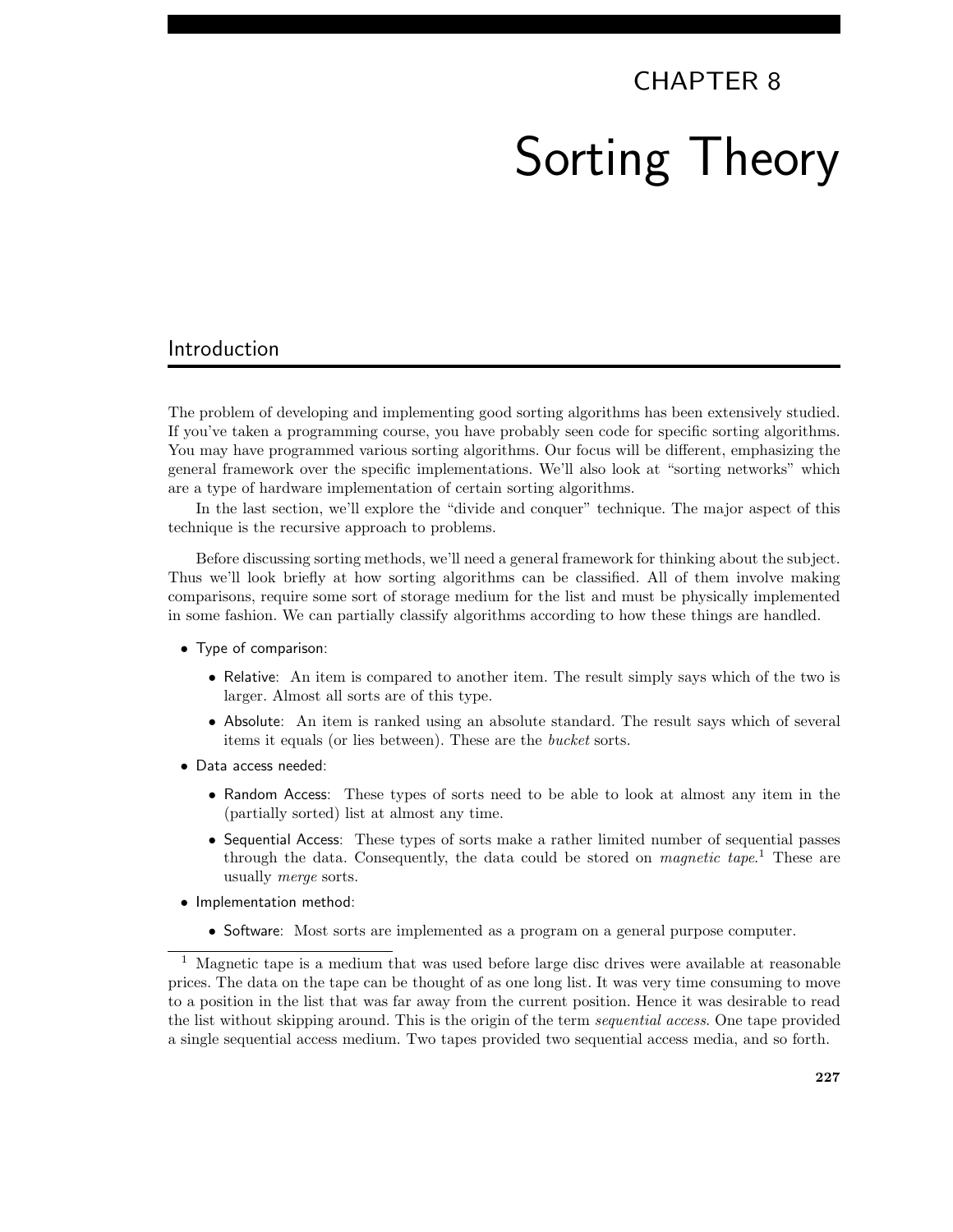# CHAPTER 8 Sorting Theory

# Introduction

The problem of developing and implementing good sorting algorithms has been extensively studied. If you've taken a programming course, you have probably seen code for specific sorting algorithms. You may have programmed various sorting algorithms. Our focus will be different, emphasizing the general framework over the specific implementations. We'll also look at "sorting networks" which are a type of hardware implementation of certain sorting algorithms.

In the last section, we'll explore the "divide and conquer" technique. The major aspect of this technique is the recursive approach to problems.

Before discussing sorting methods, we'll need a general framework for thinking about the subject. Thus we'll look briefly at how sorting algorithms can be classified. All of them involve making comparisons, require some sort of storage medium for the list and must be physically implemented in some fashion. We can partially classify algorithms according to how these things are handled.

- Type of comparison:
	- Relative: An item is compared to another item. The result simply says which of the two is larger. Almost all sorts are of this type.
	- Absolute: An item is ranked using an absolute standard. The result says which of several items it equals (or lies between). These are the bucket sorts.
- Data access needed:
	- Random Access: These types of sorts need to be able to look at almost any item in the (partially sorted) list at almost any time.
	- Sequential Access: These types of sorts make a rather limited number of sequential passes through the data. Consequently, the data could be stored on *magnetic tape*.<sup>1</sup> These are usually merge sorts.
- Implementation method:
	- Software: Most sorts are implemented as a program on a general purpose computer.

<sup>1</sup> Magnetic tape is a medium that was used before large disc drives were available at reasonable prices. The data on the tape can be thought of as one long list. It was very time consuming to move to a position in the list that was far away from the current position. Hence it was desirable to read the list without skipping around. This is the origin of the term sequential access. One tape provided a single sequential access medium. Two tapes provided two sequential access media, and so forth.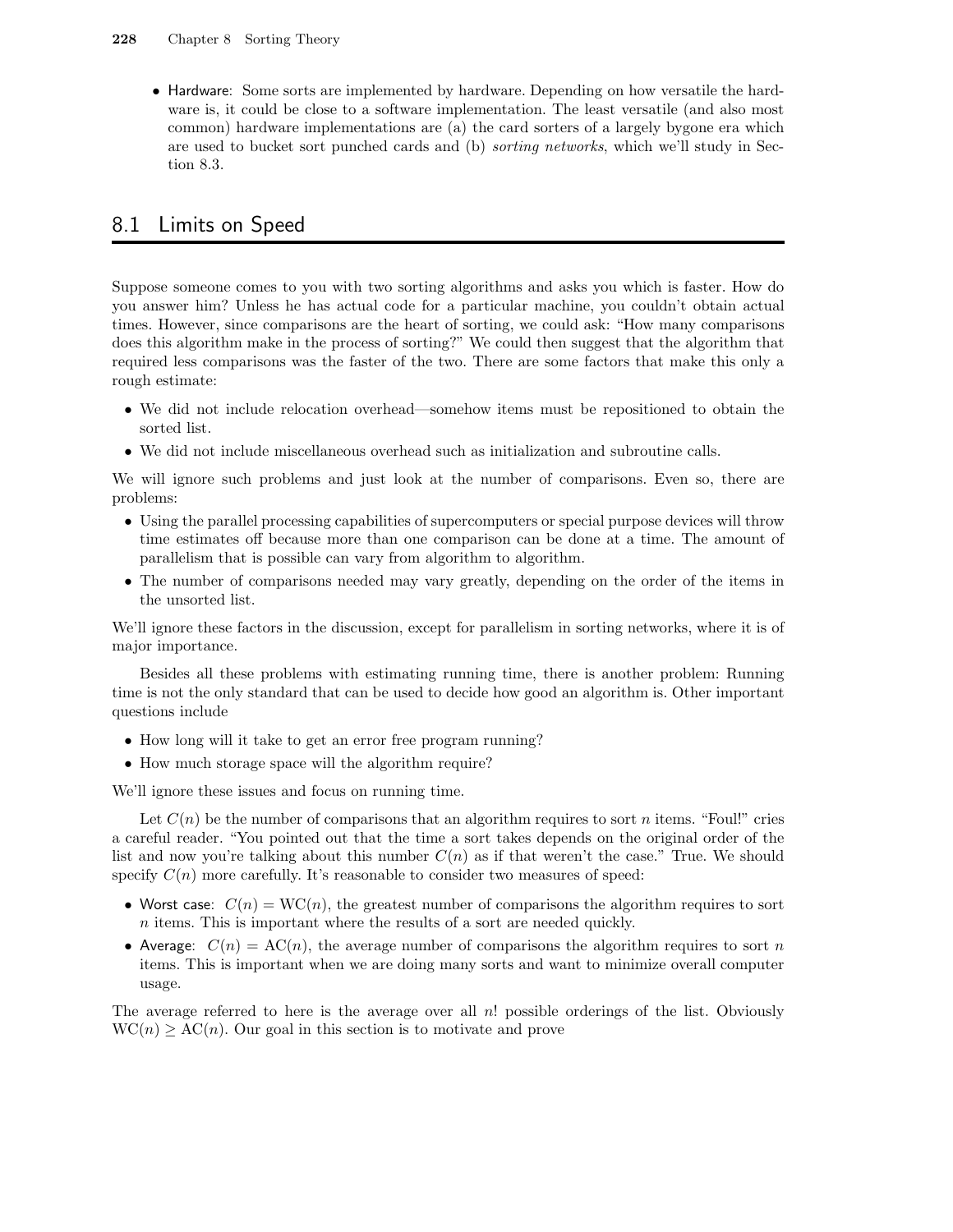#### 228 Chapter 8 Sorting Theory

• Hardware: Some sorts are implemented by hardware. Depending on how versatile the hardware is, it could be close to a software implementation. The least versatile (and also most common) hardware implementations are (a) the card sorters of a largely bygone era which are used to bucket sort punched cards and (b) sorting networks, which we'll study in Section 8.3.

# 8.1 Limits on Speed

Suppose someone comes to you with two sorting algorithms and asks you which is faster. How do you answer him? Unless he has actual code for a particular machine, you couldn't obtain actual times. However, since comparisons are the heart of sorting, we could ask: "How many comparisons does this algorithm make in the process of sorting?" We could then suggest that the algorithm that required less comparisons was the faster of the two. There are some factors that make this only a rough estimate:

- We did not include relocation overhead—somehow items must be repositioned to obtain the sorted list.
- We did not include miscellaneous overhead such as initialization and subroutine calls.

We will ignore such problems and just look at the number of comparisons. Even so, there are problems:

- Using the parallel processing capabilities of supercomputers or special purpose devices will throw time estimates off because more than one comparison can be done at a time. The amount of parallelism that is possible can vary from algorithm to algorithm.
- The number of comparisons needed may vary greatly, depending on the order of the items in the unsorted list.

We'll ignore these factors in the discussion, except for parallelism in sorting networks, where it is of major importance.

Besides all these problems with estimating running time, there is another problem: Running time is not the only standard that can be used to decide how good an algorithm is. Other important questions include

- How long will it take to get an error free program running?
- How much storage space will the algorithm require?

We'll ignore these issues and focus on running time.

Let  $C(n)$  be the number of comparisons that an algorithm requires to sort n items. "Foul!" cries a careful reader. "You pointed out that the time a sort takes depends on the original order of the list and now you're talking about this number  $C(n)$  as if that weren't the case." True. We should specify  $C(n)$  more carefully. It's reasonable to consider two measures of speed:

- Worst case:  $C(n) = \text{WC}(n)$ , the greatest number of comparisons the algorithm requires to sort  $n$  items. This is important where the results of a sort are needed quickly.
- Average:  $C(n) = AC(n)$ , the average number of comparisons the algorithm requires to sort n items. This is important when we are doing many sorts and want to minimize overall computer usage.

The average referred to here is the average over all  $n!$  possible orderings of the list. Obviously  $WC(n) > AC(n)$ . Our goal in this section is to motivate and prove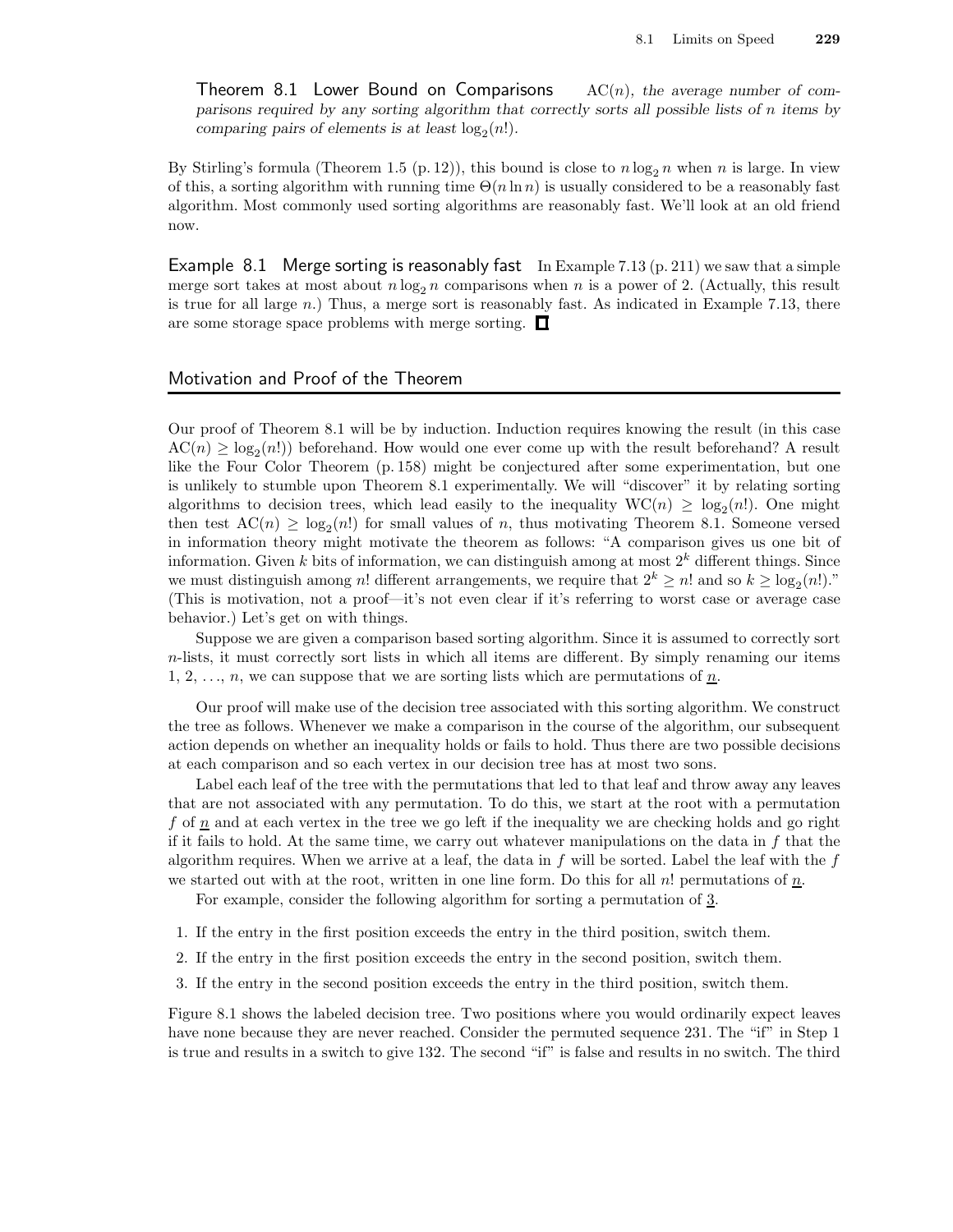Theorem 8.1 Lower Bound on Comparisons  $AC(n)$ , the average number of comparisons required by any sorting algorithm that correctly sorts all possible lists of n items by comparing pairs of elements is at least  $log_2(n!)$ .

By Stirling's formula (Theorem 1.5 (p. 12)), this bound is close to  $n \log_2 n$  when n is large. In view of this, a sorting algorithm with running time  $\Theta(n \ln n)$  is usually considered to be a reasonably fast algorithm. Most commonly used sorting algorithms are reasonably fast. We'll look at an old friend now.

Example 8.1 Merge sorting is reasonably fast In Example 7.13 (p. 211) we saw that a simple merge sort takes at most about  $n \log_2 n$  comparisons when n is a power of 2. (Actually, this result is true for all large  $n$ .) Thus, a merge sort is reasonably fast. As indicated in Example 7.13, there are some storage space problems with merge sorting.  $\Box$ 

### Motivation and Proof of the Theorem

Our proof of Theorem 8.1 will be by induction. Induction requires knowing the result (in this case  $AC(n) \geq log_2(n!)$  beforehand. How would one ever come up with the result beforehand? A result like the Four Color Theorem (p. 158) might be conjectured after some experimentation, but one is unlikely to stumble upon Theorem 8.1 experimentally. We will "discover" it by relating sorting algorithms to decision trees, which lead easily to the inequality  $WC(n) \geq log_2(n!)$ . One might then test  $AC(n) \geq log_2(n!)$  for small values of n, thus motivating Theorem 8.1. Someone versed in information theory might motivate the theorem as follows: "A comparison gives us one bit of information. Given k bits of information, we can distinguish among at most  $2<sup>k</sup>$  different things. Since we must distinguish among n! different arrangements, we require that  $2^k \geq n!$  and so  $k \geq \log_2(n!)$ ." (This is motivation, not a proof—it's not even clear if it's referring to worst case or average case behavior.) Let's get on with things.

Suppose we are given a comparison based sorting algorithm. Since it is assumed to correctly sort  $n$ -lists, it must correctly sort lists in which all items are different. By simply renaming our items 1, 2, ..., n, we can suppose that we are sorting lists which are permutations of  $\underline{n}$ .

Our proof will make use of the decision tree associated with this sorting algorithm. We construct the tree as follows. Whenever we make a comparison in the course of the algorithm, our subsequent action depends on whether an inequality holds or fails to hold. Thus there are two possible decisions at each comparison and so each vertex in our decision tree has at most two sons.

Label each leaf of the tree with the permutations that led to that leaf and throw away any leaves that are not associated with any permutation. To do this, we start at the root with a permutation f of  $n$  and at each vertex in the tree we go left if the inequality we are checking holds and go right if it fails to hold. At the same time, we carry out whatever manipulations on the data in f that the algorithm requires. When we arrive at a leaf, the data in  $f$  will be sorted. Label the leaf with the  $f$ we started out with at the root, written in one line form. Do this for all  $n!$  permutations of  $\underline{n}$ .

For example, consider the following algorithm for sorting a permutation of 3.

- 1. If the entry in the first position exceeds the entry in the third position, switch them.
- 2. If the entry in the first position exceeds the entry in the second position, switch them.
- 3. If the entry in the second position exceeds the entry in the third position, switch them.

Figure 8.1 shows the labeled decision tree. Two positions where you would ordinarily expect leaves have none because they are never reached. Consider the permuted sequence 231. The "if" in Step 1 is true and results in a switch to give 132. The second "if" is false and results in no switch. The third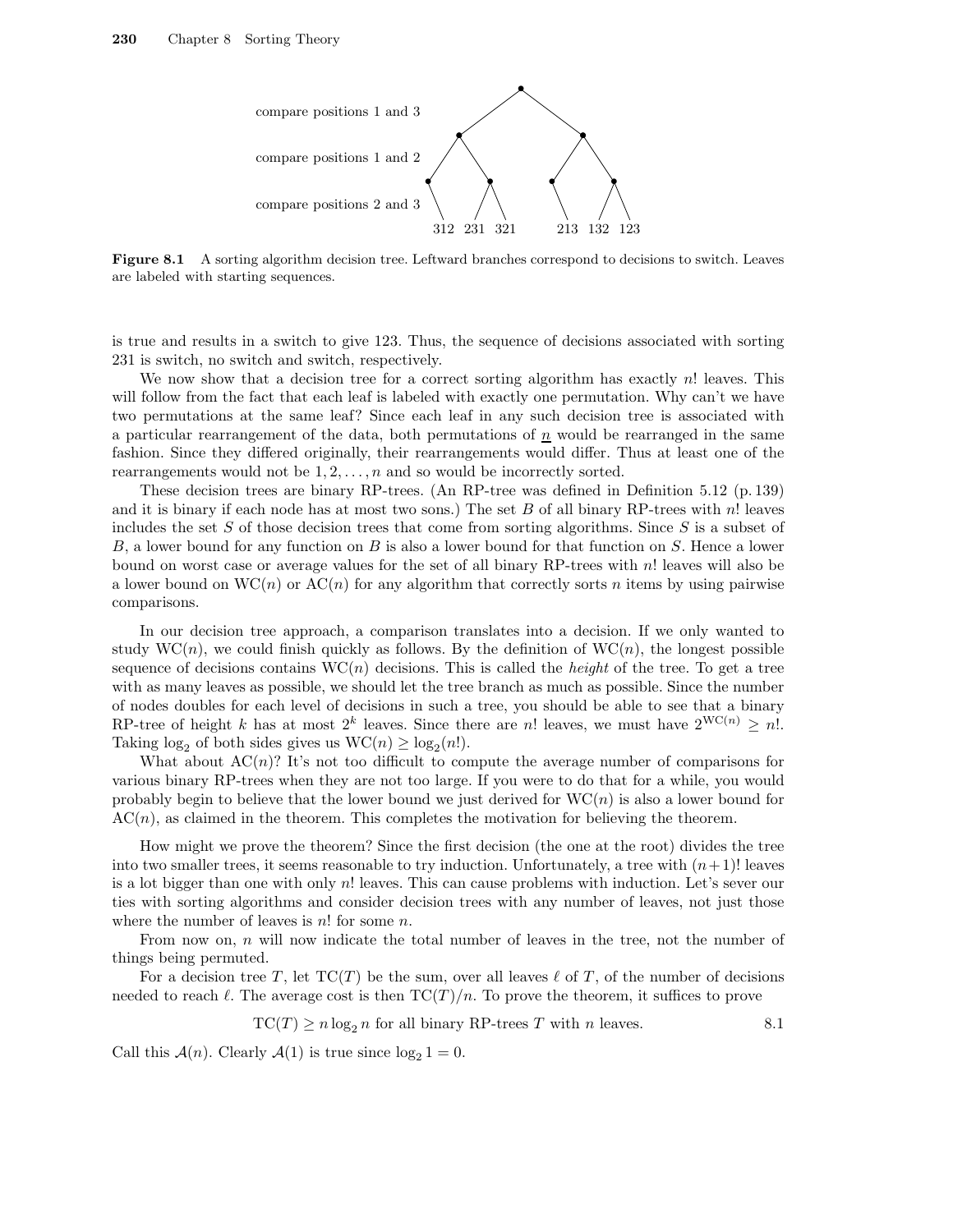

Figure 8.1 A sorting algorithm decision tree. Leftward branches correspond to decisions to switch. Leaves are labeled with starting sequences.

is true and results in a switch to give 123. Thus, the sequence of decisions associated with sorting 231 is switch, no switch and switch, respectively.

We now show that a decision tree for a correct sorting algorithm has exactly  $n!$  leaves. This will follow from the fact that each leaf is labeled with exactly one permutation. Why can't we have two permutations at the same leaf? Since each leaf in any such decision tree is associated with a particular rearrangement of the data, both permutations of  $\underline{n}$  would be rearranged in the same fashion. Since they differed originally, their rearrangements would differ. Thus at least one of the rearrangements would not be  $1, 2, \ldots, n$  and so would be incorrectly sorted.

These decision trees are binary RP-trees. (An RP-tree was defined in Definition 5.12 (p. 139) and it is binary if each node has at most two sons.) The set  $B$  of all binary RP-trees with  $n!$  leaves includes the set  $S$  of those decision trees that come from sorting algorithms. Since  $S$  is a subset of  $B$ , a lower bound for any function on  $B$  is also a lower bound for that function on  $S$ . Hence a lower bound on worst case or average values for the set of all binary RP-trees with  $n!$  leaves will also be a lower bound on  $WC(n)$  or  $AC(n)$  for any algorithm that correctly sorts n items by using pairwise comparisons.

In our decision tree approach, a comparison translates into a decision. If we only wanted to study  $WC(n)$ , we could finish quickly as follows. By the definition of  $WC(n)$ , the longest possible sequence of decisions contains  $WC(n)$  decisions. This is called the *height* of the tree. To get a tree with as many leaves as possible, we should let the tree branch as much as possible. Since the number of nodes doubles for each level of decisions in such a tree, you should be able to see that a binary RP-tree of height k has at most  $2^k$  leaves. Since there are n! leaves, we must have  $2^{WC(n)} \geq n!$ . Taking  $log_2$  of both sides gives us  $WC(n) \ge log_2(n!)$ .

What about  $AC(n)$ ? It's not too difficult to compute the average number of comparisons for various binary RP-trees when they are not too large. If you were to do that for a while, you would probably begin to believe that the lower bound we just derived for  $WC(n)$  is also a lower bound for  $AC(n)$ , as claimed in the theorem. This completes the motivation for believing the theorem.

How might we prove the theorem? Since the first decision (the one at the root) divides the tree into two smaller trees, it seems reasonable to try induction. Unfortunately, a tree with  $(n+1)!$  leaves is a lot bigger than one with only n! leaves. This can cause problems with induction. Let's sever our ties with sorting algorithms and consider decision trees with any number of leaves, not just those where the number of leaves is  $n!$  for some  $n$ .

From now on, n will now indicate the total number of leaves in the tree, not the number of things being permuted.

For a decision tree T, let  $TC(T)$  be the sum, over all leaves  $\ell$  of T, of the number of decisions needed to reach  $\ell$ . The average cost is then  $TC(T)/n$ . To prove the theorem, it suffices to prove

$$
TC(T) \ge n \log_2 n
$$
 for all binary RP-trees T with n leaves.

Call this  $\mathcal{A}(n)$ . Clearly  $\mathcal{A}(1)$  is true since  $\log_2 1 = 0$ .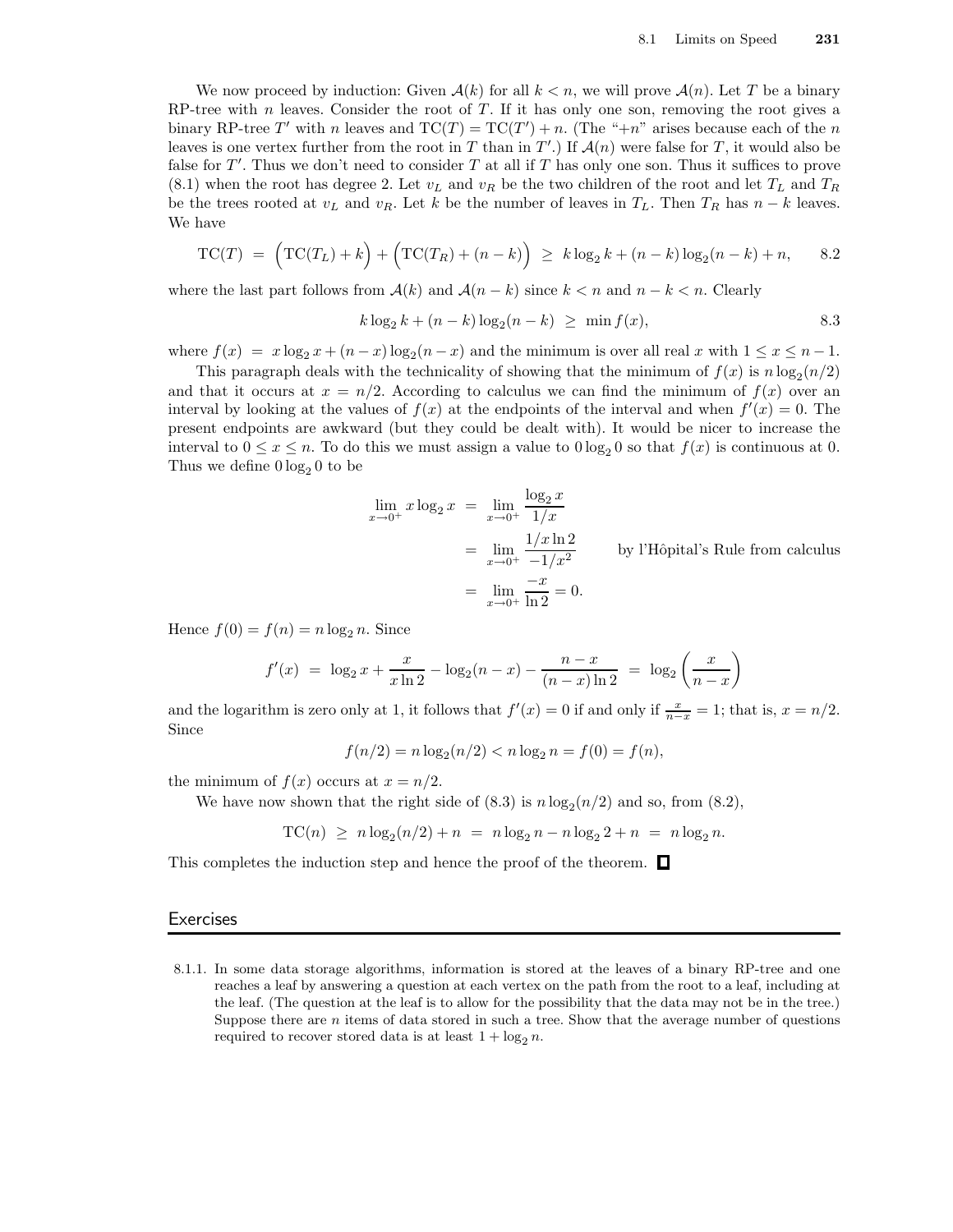We now proceed by induction: Given  $\mathcal{A}(k)$  for all  $k < n$ , we will prove  $\mathcal{A}(n)$ . Let T be a binary RP-tree with n leaves. Consider the root of  $T$ . If it has only one son, removing the root gives a binary RP-tree T' with n leaves and  $TC(T) = TC(T') + n$ . (The "+n" arises because each of the n leaves is one vertex further from the root in T than in T'.) If  $\mathcal{A}(n)$  were false for T, it would also be false for T'. Thus we don't need to consider T at all if T has only one son. Thus it suffices to prove  $(8.1)$  when the root has degree 2. Let  $v<sub>L</sub>$  and  $v<sub>R</sub>$  be the two children of the root and let  $T<sub>L</sub>$  and  $T<sub>R</sub>$ be the trees rooted at  $v<sub>L</sub>$  and  $v<sub>R</sub>$ . Let k be the number of leaves in  $T<sub>L</sub>$ . Then  $T<sub>R</sub>$  has  $n - k$  leaves. We have

$$
TC(T) = (TC(T_L) + k) + (TC(T_R) + (n - k)) \ge k \log_2 k + (n - k) \log_2 (n - k) + n, \quad 8.2
$$

where the last part follows from  $\mathcal{A}(k)$  and  $\mathcal{A}(n-k)$  since  $k < n$  and  $n-k < n$ . Clearly

$$
k \log_2 k + (n - k) \log_2 (n - k) \ge \min f(x),
$$
 8.3

where  $f(x) = x \log_2 x + (n - x) \log_2 (n - x)$  and the minimum is over all real x with  $1 \le x \le n - 1$ .

This paragraph deals with the technicality of showing that the minimum of  $f(x)$  is  $n \log_2(n/2)$ and that it occurs at  $x = n/2$ . According to calculus we can find the minimum of  $f(x)$  over an interval by looking at the values of  $f(x)$  at the endpoints of the interval and when  $f'(x) = 0$ . The present endpoints are awkward (but they could be dealt with). It would be nicer to increase the interval to  $0 \le x \le n$ . To do this we must assign a value to  $0 \log_2 0$  so that  $f(x)$  is continuous at 0. Thus we define  $0\log_2 0$  to be

$$
\lim_{x \to 0^{+}} x \log_2 x = \lim_{x \to 0^{+}} \frac{\log_2 x}{1/x}
$$
  
= 
$$
\lim_{x \to 0^{+}} \frac{1/x \ln 2}{-1/x^2}
$$
 by l'Hôpital's Rule from calculus  
= 
$$
\lim_{x \to 0^{+}} \frac{-x}{\ln 2} = 0.
$$

Hence  $f(0) = f(n) = n \log_2 n$ . Since

$$
f'(x) = \log_2 x + \frac{x}{x \ln 2} - \log_2 (n - x) - \frac{n - x}{(n - x) \ln 2} = \log_2 \left( \frac{x}{n - x} \right)
$$

and the logarithm is zero only at 1, it follows that  $f'(x) = 0$  if and only if  $\frac{x}{n-x} = 1$ ; that is,  $x = n/2$ . Since

$$
f(n/2) = n \log_2(n/2) < n \log_2 n = f(0) = f(n),
$$

the minimum of  $f(x)$  occurs at  $x = n/2$ .

We have now shown that the right side of  $(8.3)$  is  $n \log_2(n/2)$  and so, from  $(8.2)$ ,

$$
TC(n) \ge n \log_2(n/2) + n = n \log_2 n - n \log_2 2 + n = n \log_2 n.
$$

This completes the induction step and hence the proof of the theorem.

#### **Exercises**

8.1.1. In some data storage algorithms, information is stored at the leaves of a binary RP-tree and one reaches a leaf by answering a question at each vertex on the path from the root to a leaf, including at the leaf. (The question at the leaf is to allow for the possibility that the data may not be in the tree.) Suppose there are  $n$  items of data stored in such a tree. Show that the average number of questions required to recover stored data is at least  $1 + \log_2 n$ .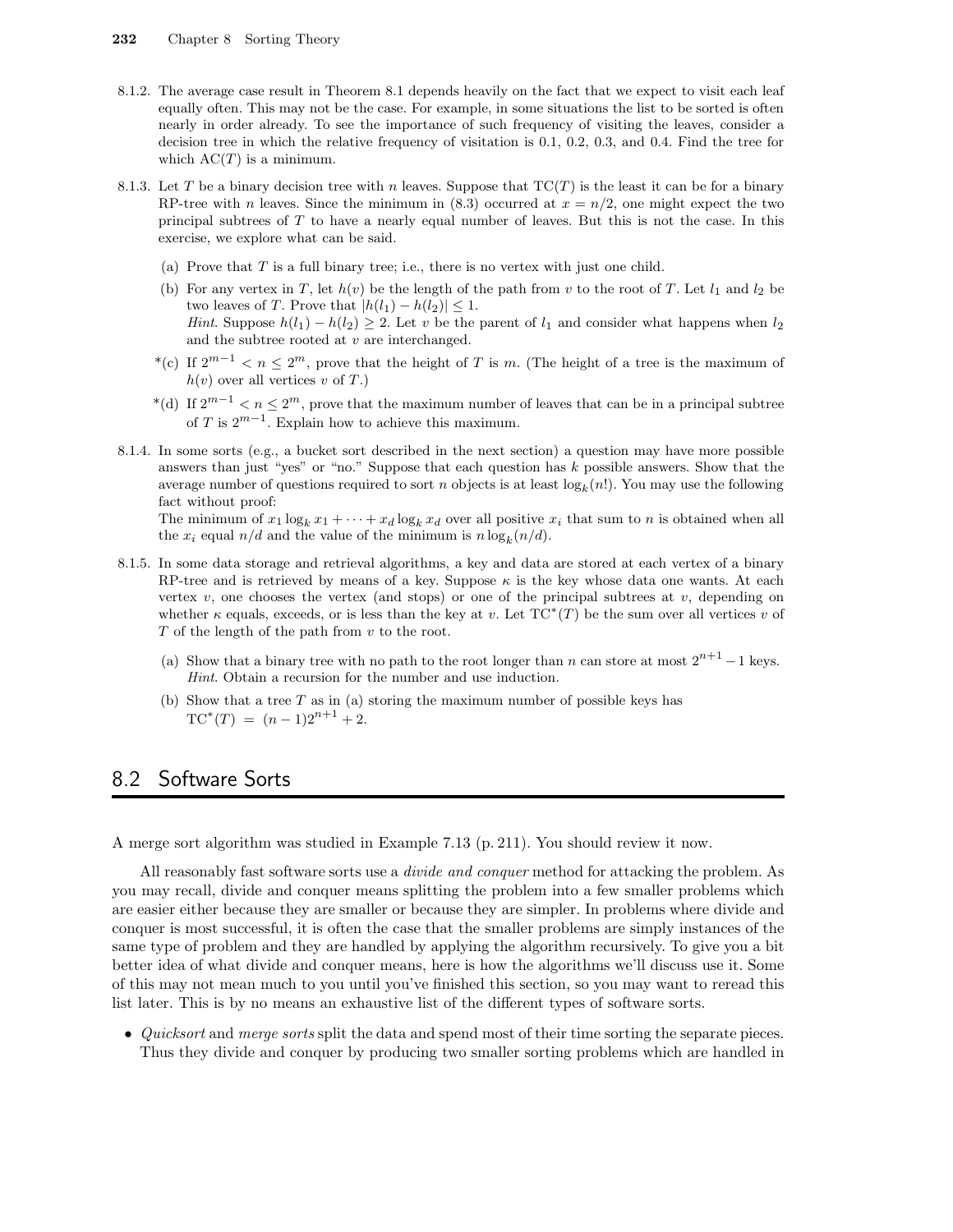- 8.1.2. The average case result in Theorem 8.1 depends heavily on the fact that we expect to visit each leaf equally often. This may not be the case. For example, in some situations the list to be sorted is often nearly in order already. To see the importance of such frequency of visiting the leaves, consider a decision tree in which the relative frequency of visitation is 0.1, 0.2, 0.3, and 0.4. Find the tree for which  $AC(T)$  is a minimum.
- 8.1.3. Let T be a binary decision tree with n leaves. Suppose that  $TC(T)$  is the least it can be for a binary RP-tree with n leaves. Since the minimum in (8.3) occurred at  $x = n/2$ , one might expect the two principal subtrees of  $T$  to have a nearly equal number of leaves. But this is not the case. In this exercise, we explore what can be said.
	- (a) Prove that  $T$  is a full binary tree; i.e., there is no vertex with just one child.
	- (b) For any vertex in T, let  $h(v)$  be the length of the path from v to the root of T. Let  $l_1$  and  $l_2$  be two leaves of T. Prove that  $|h(l_1) - h(l_2)| \leq 1$ . Hint. Suppose  $h(l_1) - h(l_2) \geq 2$ . Let v be the parent of  $l_1$  and consider what happens when  $l_2$ and the subtree rooted at  $v$  are interchanged.
	- <sup>\*</sup>(c) If  $2^{m-1} < n \leq 2^m$ , prove that the height of T is m. (The height of a tree is the maximum of  $h(v)$  over all vertices v of T.)
	- <sup>\*</sup>(d) If  $2^{m-1} < n \le 2^m$ , prove that the maximum number of leaves that can be in a principal subtree of T is  $2^{m-1}$ . Explain how to achieve this maximum.
- 8.1.4. In some sorts (e.g., a bucket sort described in the next section) a question may have more possible answers than just "yes" or "no." Suppose that each question has k possible answers. Show that the average number of questions required to sort n objects is at least  $\log_k(n!)$ . You may use the following fact without proof:

The minimum of  $x_1 \log_k x_1 + \cdots + x_d \log_k x_d$  over all positive  $x_i$  that sum to n is obtained when all the  $x_i$  equal  $n/d$  and the value of the minimum is  $n \log_k(n/d)$ .

- 8.1.5. In some data storage and retrieval algorithms, a key and data are stored at each vertex of a binary RP-tree and is retrieved by means of a key. Suppose  $\kappa$  is the key whose data one wants. At each vertex  $v$ , one chooses the vertex (and stops) or one of the principal subtrees at  $v$ , depending on whether  $\kappa$  equals, exceeds, or is less than the key at v. Let  $TC^*(T)$  be the sum over all vertices v of  $T$  of the length of the path from  $v$  to the root.
	- (a) Show that a binary tree with no path to the root longer than n can store at most  $2^{n+1} 1$  keys. Hint. Obtain a recursion for the number and use induction.
	- (b) Show that a tree  $T$  as in (a) storing the maximum number of possible keys has  $TC^*(T) = (n-1)2^{n+1} + 2.$

# 8.2 Software Sorts

A merge sort algorithm was studied in Example 7.13 (p. 211). You should review it now.

All reasonably fast software sorts use a *divide and conquer* method for attacking the problem. As you may recall, divide and conquer means splitting the problem into a few smaller problems which are easier either because they are smaller or because they are simpler. In problems where divide and conquer is most successful, it is often the case that the smaller problems are simply instances of the same type of problem and they are handled by applying the algorithm recursively. To give you a bit better idea of what divide and conquer means, here is how the algorithms we'll discuss use it. Some of this may not mean much to you until you've finished this section, so you may want to reread this list later. This is by no means an exhaustive list of the different types of software sorts.

• Quicksort and merge sorts split the data and spend most of their time sorting the separate pieces. Thus they divide and conquer by producing two smaller sorting problems which are handled in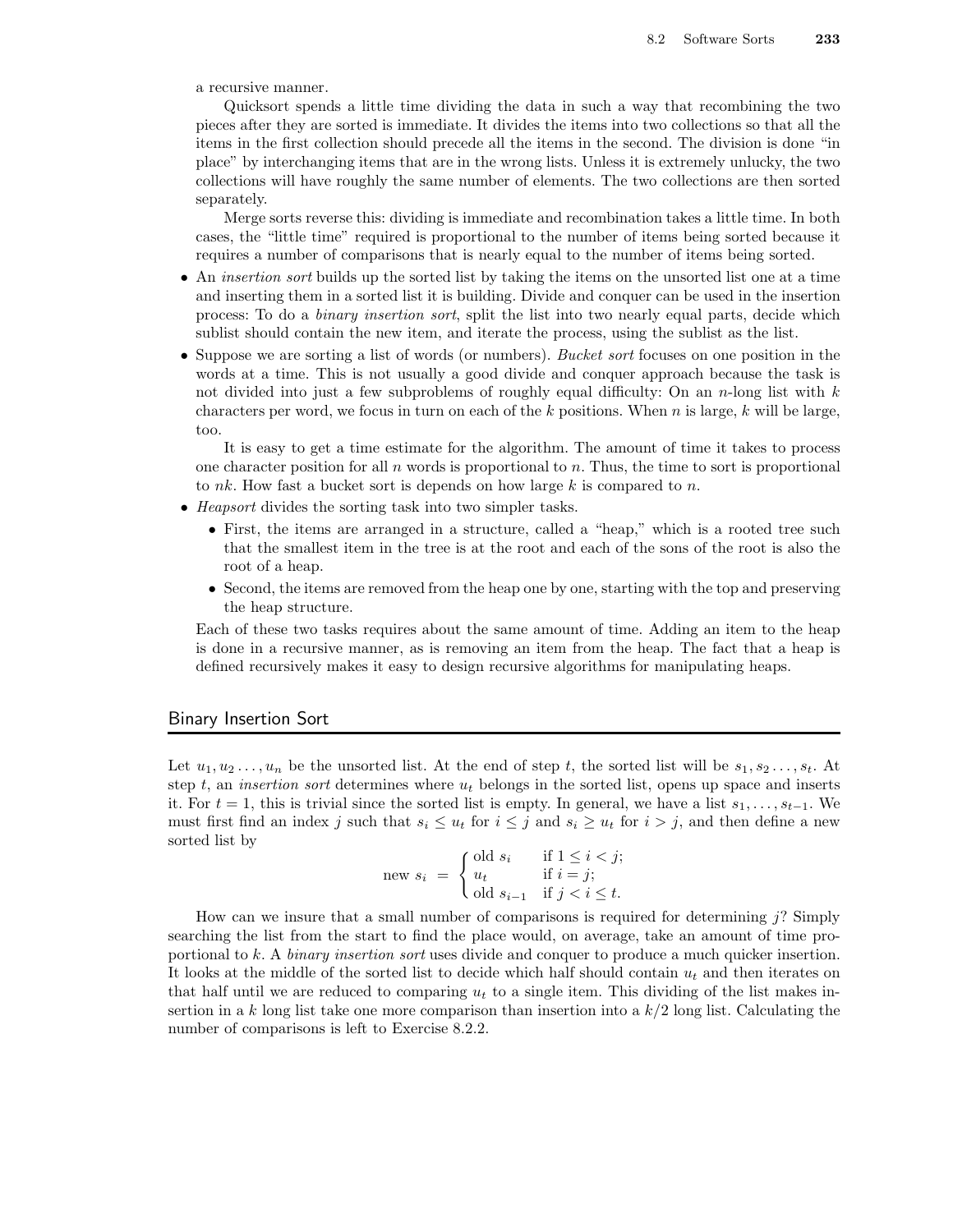a recursive manner.

Quicksort spends a little time dividing the data in such a way that recombining the two pieces after they are sorted is immediate. It divides the items into two collections so that all the items in the first collection should precede all the items in the second. The division is done "in place" by interchanging items that are in the wrong lists. Unless it is extremely unlucky, the two collections will have roughly the same number of elements. The two collections are then sorted separately.

Merge sorts reverse this: dividing is immediate and recombination takes a little time. In both cases, the "little time" required is proportional to the number of items being sorted because it requires a number of comparisons that is nearly equal to the number of items being sorted.

- An *insertion sort* builds up the sorted list by taking the items on the unsorted list one at a time and inserting them in a sorted list it is building. Divide and conquer can be used in the insertion process: To do a binary insertion sort, split the list into two nearly equal parts, decide which sublist should contain the new item, and iterate the process, using the sublist as the list.
- Suppose we are sorting a list of words (or numbers). Bucket sort focuses on one position in the words at a time. This is not usually a good divide and conquer approach because the task is not divided into just a few subproblems of roughly equal difficulty: On an  $n$ -long list with  $k$ characters per word, we focus in turn on each of the  $k$  positions. When  $n$  is large,  $k$  will be large, too.

It is easy to get a time estimate for the algorithm. The amount of time it takes to process one character position for all n words is proportional to n. Thus, the time to sort is proportional to nk. How fast a bucket sort is depends on how large  $k$  is compared to n.

- Heapsort divides the sorting task into two simpler tasks.
	- First, the items are arranged in a structure, called a "heap," which is a rooted tree such that the smallest item in the tree is at the root and each of the sons of the root is also the root of a heap.
	- Second, the items are removed from the heap one by one, starting with the top and preserving the heap structure.

Each of these two tasks requires about the same amount of time. Adding an item to the heap is done in a recursive manner, as is removing an item from the heap. The fact that a heap is defined recursively makes it easy to design recursive algorithms for manipulating heaps.

## Binary Insertion Sort

Let  $u_1, u_2, \ldots, u_n$  be the unsorted list. At the end of step t, the sorted list will be  $s_1, s_2, \ldots, s_t$ . At step t, an *insertion sort* determines where  $u_t$  belongs in the sorted list, opens up space and inserts it. For  $t = 1$ , this is trivial since the sorted list is empty. In general, we have a list  $s_1, \ldots, s_{t-1}$ . We must first find an index j such that  $s_i \le u_t$  for  $i \le j$  and  $s_i \ge u_t$  for  $i > j$ , and then define a new sorted list by

$$
\text{new } s_i \ = \ \begin{cases} \text{old } s_i & \text{if } 1 \leq i < j; \\ u_t & \text{if } i = j; \\ \text{old } s_{i-1} & \text{if } j < i \leq t. \end{cases}
$$

How can we insure that a small number of comparisons is required for determining j? Simply searching the list from the start to find the place would, on average, take an amount of time proportional to k. A binary insertion sort uses divide and conquer to produce a much quicker insertion. It looks at the middle of the sorted list to decide which half should contain  $u_t$  and then iterates on that half until we are reduced to comparing  $u_t$  to a single item. This dividing of the list makes insertion in a k long list take one more comparison than insertion into a  $k/2$  long list. Calculating the number of comparisons is left to Exercise 8.2.2.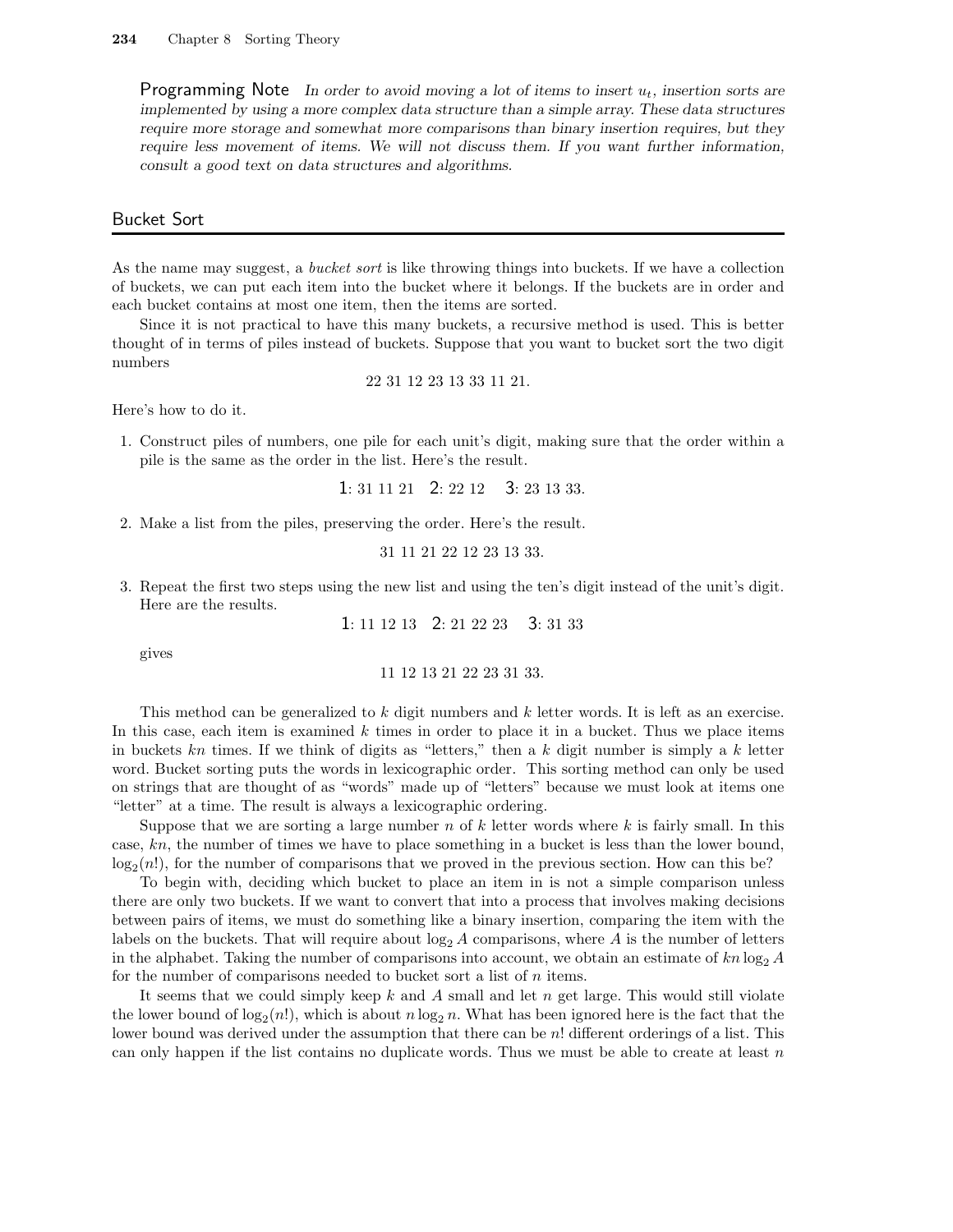**Programming Note** In order to avoid moving a lot of items to insert  $u_t$ , insertion sorts are implemented by using a more complex data structure than a simple array. These data structures require more storage and somewhat more comparisons than binary insertion requires, but they require less movement of items. We will not discuss them. If you want further information, consult a good text on data structures and algorithms.

#### Bucket Sort

As the name may suggest, a *bucket sort* is like throwing things into buckets. If we have a collection of buckets, we can put each item into the bucket where it belongs. If the buckets are in order and each bucket contains at most one item, then the items are sorted.

Since it is not practical to have this many buckets, a recursive method is used. This is better thought of in terms of piles instead of buckets. Suppose that you want to bucket sort the two digit numbers

22 31 12 23 13 33 11 21.

Here's how to do it.

1. Construct piles of numbers, one pile for each unit's digit, making sure that the order within a pile is the same as the order in the list. Here's the result.

$$
1: 31 \ 11 \ 21 \quad 2: 22 \ 12 \quad 3: 23 \ 13 \ 33.
$$

2. Make a list from the piles, preserving the order. Here's the result.

31 11 21 22 12 23 13 33.

3. Repeat the first two steps using the new list and using the ten's digit instead of the unit's digit. Here are the results.

1: 11 12 13 2: 21 22 23 3: 31 33

gives

```
11 12 13 21 22 23 31 33.
```
This method can be generalized to k digit numbers and k letter words. It is left as an exercise. In this case, each item is examined  $k$  times in order to place it in a bucket. Thus we place items in buckets kn times. If we think of digits as "letters," then a k digit number is simply a k letter word. Bucket sorting puts the words in lexicographic order. This sorting method can only be used on strings that are thought of as "words" made up of "letters" because we must look at items one "letter" at a time. The result is always a lexicographic ordering.

Suppose that we are sorting a large number n of k letter words where k is fairly small. In this case, kn, the number of times we have to place something in a bucket is less than the lower bound,  $log_2(n!)$ , for the number of comparisons that we proved in the previous section. How can this be?

To begin with, deciding which bucket to place an item in is not a simple comparison unless there are only two buckets. If we want to convert that into a process that involves making decisions between pairs of items, we must do something like a binary insertion, comparing the item with the labels on the buckets. That will require about  $log_2 A$  comparisons, where A is the number of letters in the alphabet. Taking the number of comparisons into account, we obtain an estimate of  $kn \log_2 A$ for the number of comparisons needed to bucket sort a list of  $n$  items.

It seems that we could simply keep  $k$  and  $\overline{A}$  small and let  $n$  get large. This would still violate the lower bound of  $log_2(n!)$ , which is about  $n log_2 n$ . What has been ignored here is the fact that the lower bound was derived under the assumption that there can be n! different orderings of a list. This can only happen if the list contains no duplicate words. Thus we must be able to create at least  $n$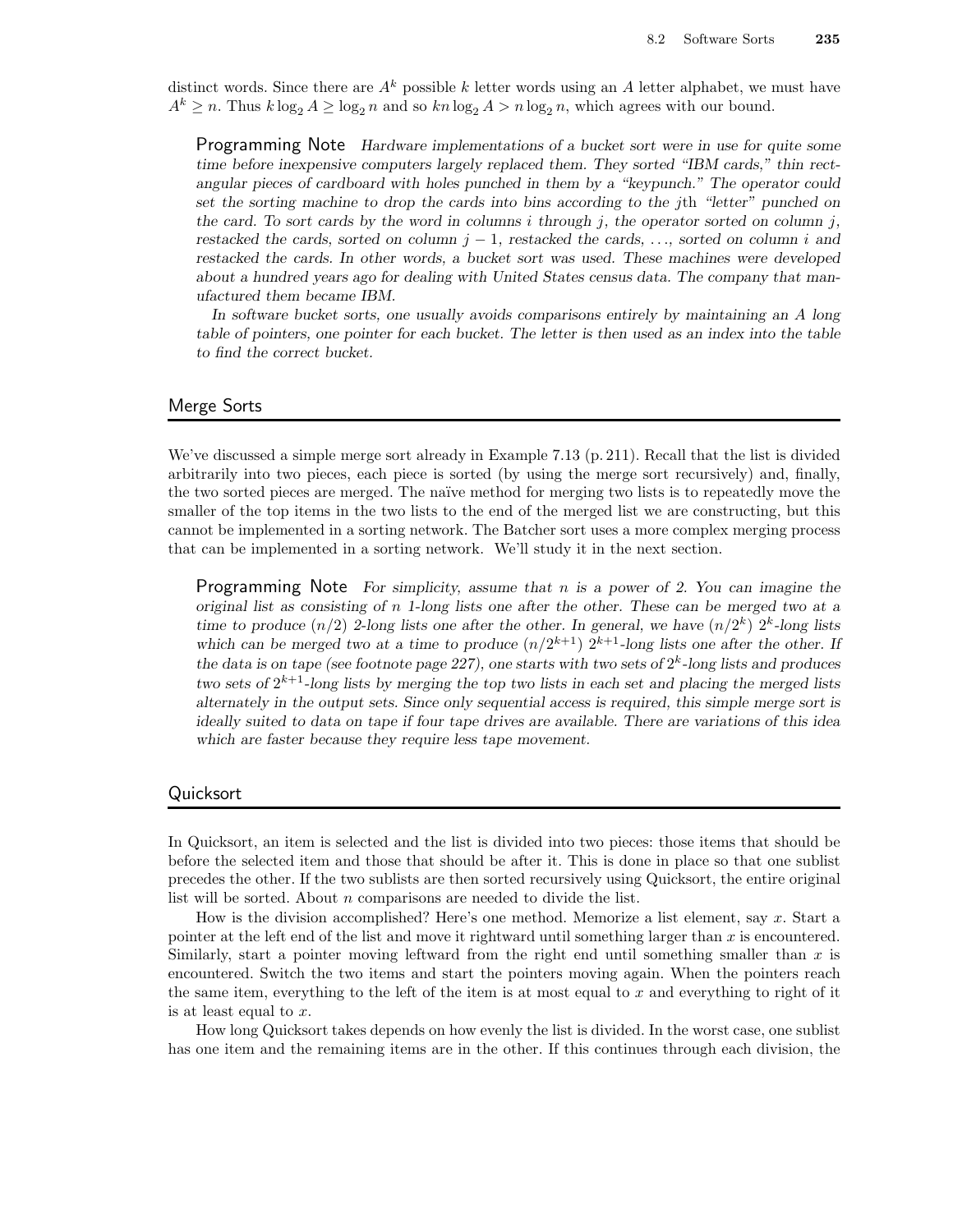distinct words. Since there are  $A^k$  possible k letter words using an A letter alphabet, we must have  $A^k \geq n$ . Thus  $k \log_2 A \geq \log_2 n$  and so  $kn \log_2 A > n \log_2 n$ , which agrees with our bound.

Programming Note Hardware implementations of a bucket sort were in use for quite some time before inexpensive computers largely replaced them. They sorted "IBM cards," thin rectangular pieces of cardboard with holes punched in them by a "keypunch." The operator could set the sorting machine to drop the cards into bins according to the jth "letter" punched on the card. To sort cards by the word in columns i through j, the operator sorted on column j, restacked the cards, sorted on column  $j-1$ , restacked the cards, ..., sorted on column i and restacked the cards. In other words, a bucket sort was used. These machines were developed about a hundred years ago for dealing with United States census data. The company that manufactured them became IBM.

In software bucket sorts, one usually avoids comparisons entirely by maintaining an A long table of pointers, one pointer for each bucket. The letter is then used as an index into the table to find the correct bucket.

#### Merge Sorts

We've discussed a simple merge sort already in Example 7.13 (p. 211). Recall that the list is divided arbitrarily into two pieces, each piece is sorted (by using the merge sort recursively) and, finally, the two sorted pieces are merged. The na¨ıve method for merging two lists is to repeatedly move the smaller of the top items in the two lists to the end of the merged list we are constructing, but this cannot be implemented in a sorting network. The Batcher sort uses a more complex merging process that can be implemented in a sorting network. We'll study it in the next section.

**Programming Note** For simplicity, assume that n is a power of 2. You can imagine the original list as consisting of  $n$  1-long lists one after the other. These can be merged two at a time to produce  $(n/2)$  2-long lists one after the other. In general, we have  $(n/2^k)$   $2^k$ -long lists which can be merged two at a time to produce  $(n/2^{k+1})$   $2^{k+1}$ -long lists one after the other. If the data is on tape (see footnote page 227), one starts with two sets of  $2^k$ -long lists and produces two sets of  $2^{k+1}$ -long lists by merging the top two lists in each set and placing the merged lists alternately in the output sets. Since only sequential access is required, this simple merge sort is ideally suited to data on tape if four tape drives are available. There are variations of this idea which are faster because they require less tape movement.

#### **Quicksort**

In Quicksort, an item is selected and the list is divided into two pieces: those items that should be before the selected item and those that should be after it. This is done in place so that one sublist precedes the other. If the two sublists are then sorted recursively using Quicksort, the entire original list will be sorted. About  $n$  comparisons are needed to divide the list.

How is the division accomplished? Here's one method. Memorize a list element, say x. Start a pointer at the left end of the list and move it rightward until something larger than  $x$  is encountered. Similarly, start a pointer moving leftward from the right end until something smaller than  $x$  is encountered. Switch the two items and start the pointers moving again. When the pointers reach the same item, everything to the left of the item is at most equal to x and everything to right of it is at least equal to x.

How long Quicksort takes depends on how evenly the list is divided. In the worst case, one sublist has one item and the remaining items are in the other. If this continues through each division, the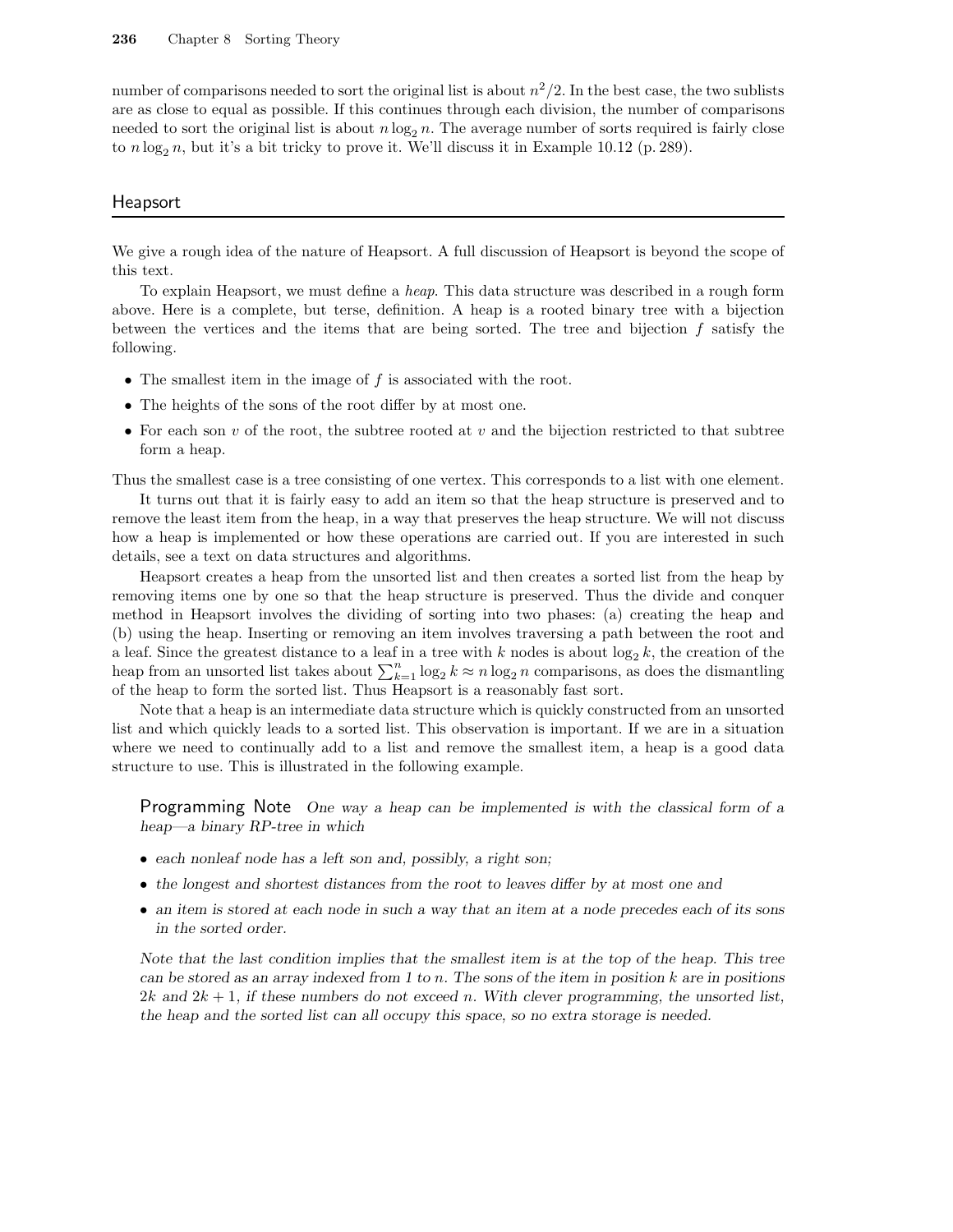number of comparisons needed to sort the original list is about  $n^2/2$ . In the best case, the two sublists are as close to equal as possible. If this continues through each division, the number of comparisons needed to sort the original list is about  $n \log_2 n$ . The average number of sorts required is fairly close to  $n \log_2 n$ , but it's a bit tricky to prove it. We'll discuss it in Example 10.12 (p. 289).

#### Heapsort

We give a rough idea of the nature of Heapsort. A full discussion of Heapsort is beyond the scope of this text.

To explain Heapsort, we must define a heap. This data structure was described in a rough form above. Here is a complete, but terse, definition. A heap is a rooted binary tree with a bijection between the vertices and the items that are being sorted. The tree and bijection  $f$  satisfy the following.

- The smallest item in the image of  $f$  is associated with the root.
- The heights of the sons of the root differ by at most one.
- For each son v of the root, the subtree rooted at v and the bijection restricted to that subtree form a heap.

Thus the smallest case is a tree consisting of one vertex. This corresponds to a list with one element.

It turns out that it is fairly easy to add an item so that the heap structure is preserved and to remove the least item from the heap, in a way that preserves the heap structure. We will not discuss how a heap is implemented or how these operations are carried out. If you are interested in such details, see a text on data structures and algorithms.

Heapsort creates a heap from the unsorted list and then creates a sorted list from the heap by removing items one by one so that the heap structure is preserved. Thus the divide and conquer method in Heapsort involves the dividing of sorting into two phases: (a) creating the heap and (b) using the heap. Inserting or removing an item involves traversing a path between the root and a leaf. Since the greatest distance to a leaf in a tree with k nodes is about  $\log_2 k$ , the creation of the heap from an unsorted list takes about  $\sum_{k=1}^{n} \log_2 k \approx n \log_2 n$  comparisons, as does the dismantling of the heap to form the sorted list. Thus Heapsort is a reasonably fast sort.

Note that a heap is an intermediate data structure which is quickly constructed from an unsorted list and which quickly leads to a sorted list. This observation is important. If we are in a situation where we need to continually add to a list and remove the smallest item, a heap is a good data structure to use. This is illustrated in the following example.

Programming Note One way a heap can be implemented is with the classical form of a heap—a binary RP-tree in which

- each nonleaf node has a left son and, possibly, a right son;
- the longest and shortest distances from the root to leaves differ by at most one and
- an item is stored at each node in such a way that an item at a node precedes each of its sons in the sorted order.

Note that the last condition implies that the smallest item is at the top of the heap. This tree can be stored as an array indexed from 1 to n. The sons of the item in position  $k$  are in positions 2k and  $2k + 1$ , if these numbers do not exceed n. With clever programming, the unsorted list, the heap and the sorted list can all occupy this space, so no extra storage is needed.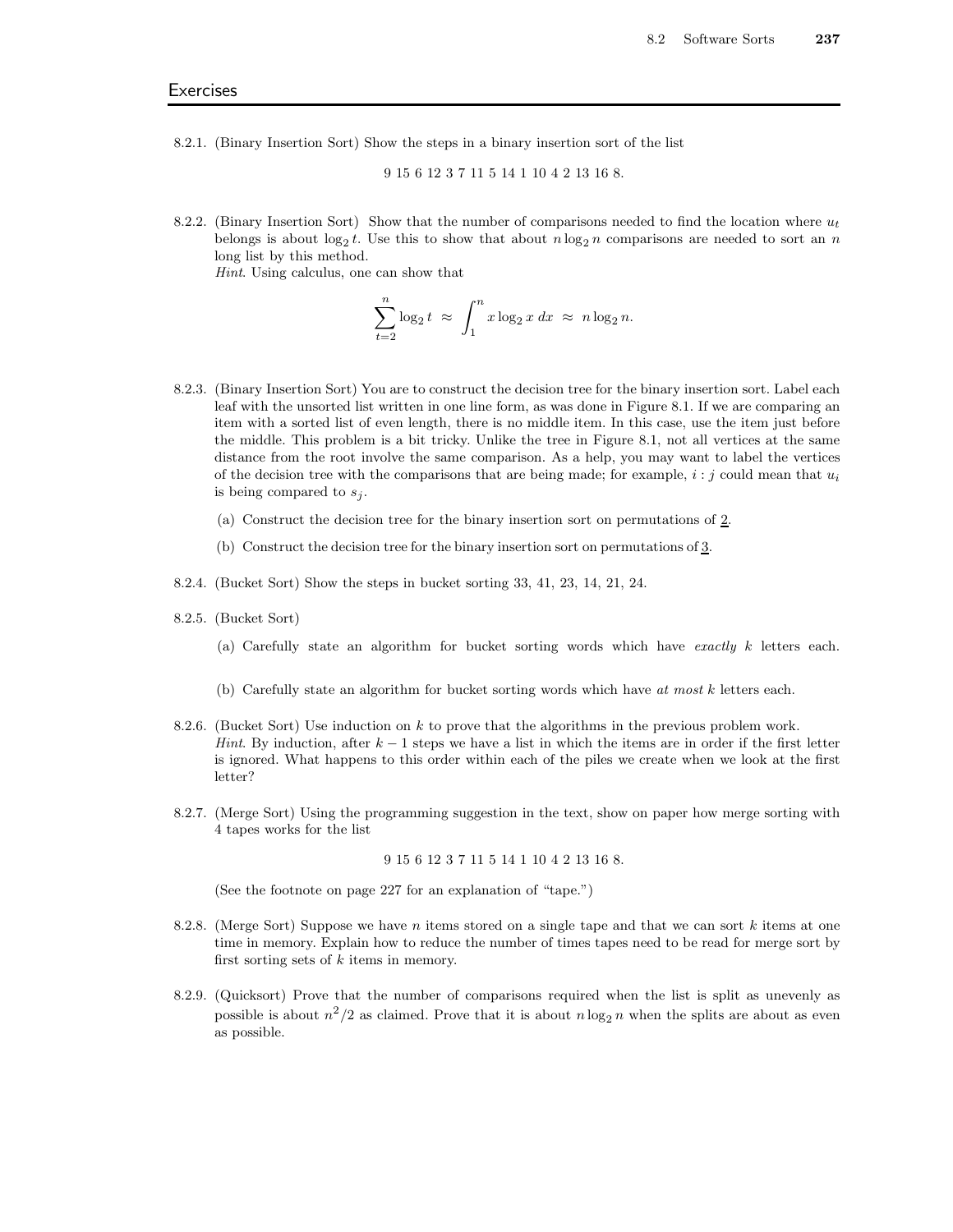8.2.1. (Binary Insertion Sort) Show the steps in a binary insertion sort of the list

9 15 6 12 3 7 11 5 14 1 10 4 2 13 16 8.

8.2.2. (Binary Insertion Sort) Show that the number of comparisons needed to find the location where  $u_t$ belongs is about  $log_2 t$ . Use this to show that about  $n log_2 n$  comparisons are needed to sort an  $n$ long list by this method.

Hint. Using calculus, one can show that

$$
\sum_{t=2}^{n} \log_2 t \approx \int_1^n x \log_2 x \, dx \approx n \log_2 n.
$$

- 8.2.3. (Binary Insertion Sort) You are to construct the decision tree for the binary insertion sort. Label each leaf with the unsorted list written in one line form, as was done in Figure 8.1. If we are comparing an item with a sorted list of even length, there is no middle item. In this case, use the item just before the middle. This problem is a bit tricky. Unlike the tree in Figure 8.1, not all vertices at the same distance from the root involve the same comparison. As a help, you may want to label the vertices of the decision tree with the comparisons that are being made; for example,  $i : j$  could mean that  $u_i$ is being compared to  $s_i$ .
	- (a) Construct the decision tree for the binary insertion sort on permutations of 2.
	- (b) Construct the decision tree for the binary insertion sort on permutations of  $3$ .
- 8.2.4. (Bucket Sort) Show the steps in bucket sorting 33, 41, 23, 14, 21, 24.
- 8.2.5. (Bucket Sort)
	- (a) Carefully state an algorithm for bucket sorting words which have exactly k letters each.
	- (b) Carefully state an algorithm for bucket sorting words which have at most  $k$  letters each.
- 8.2.6. (Bucket Sort) Use induction on  $k$  to prove that the algorithms in the previous problem work. Hint. By induction, after  $k - 1$  steps we have a list in which the items are in order if the first letter is ignored. What happens to this order within each of the piles we create when we look at the first letter?
- 8.2.7. (Merge Sort) Using the programming suggestion in the text, show on paper how merge sorting with 4 tapes works for the list

9 15 6 12 3 7 11 5 14 1 10 4 2 13 16 8.

(See the footnote on page 227 for an explanation of "tape.")

- 8.2.8. (Merge Sort) Suppose we have n items stored on a single tape and that we can sort  $k$  items at one time in memory. Explain how to reduce the number of times tapes need to be read for merge sort by first sorting sets of  $k$  items in memory.
- 8.2.9. (Quicksort) Prove that the number of comparisons required when the list is split as unevenly as possible is about  $n^2/2$  as claimed. Prove that it is about  $n \log_2 n$  when the splits are about as even as possible.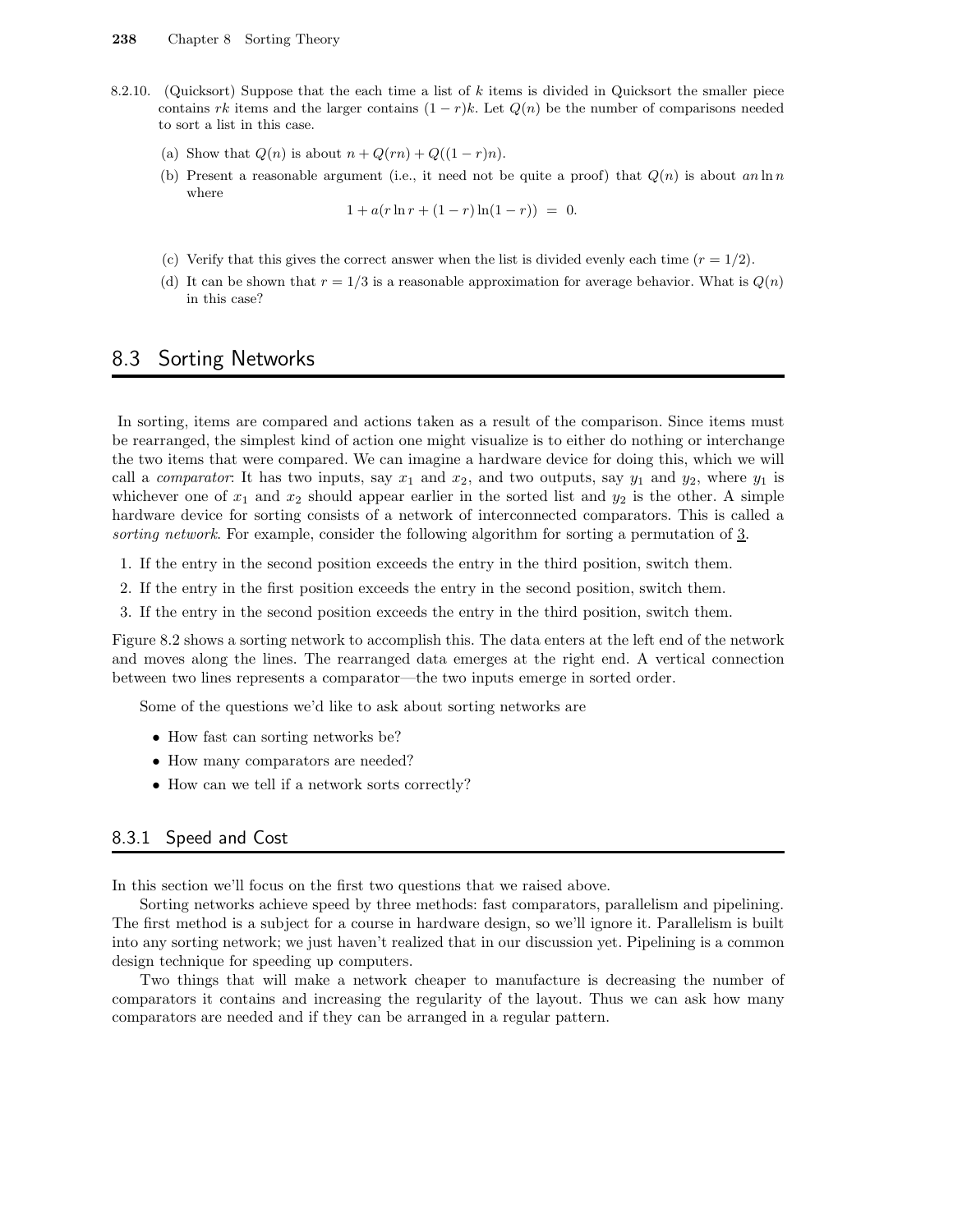- 8.2.10. (Quicksort) Suppose that the each time a list of  $k$  items is divided in Quicksort the smaller piece contains rk items and the larger contains  $(1 - r)k$ . Let  $Q(n)$  be the number of comparisons needed to sort a list in this case.
	- (a) Show that  $Q(n)$  is about  $n + Q(rn) + Q((1 r)n)$ .
	- (b) Present a reasonable argument (i.e., it need not be quite a proof) that  $Q(n)$  is about an ln n where

 $1 + a(r \ln r + (1 - r) \ln(1 - r)) = 0.$ 

- (c) Verify that this gives the correct answer when the list is divided evenly each time  $(r = 1/2)$ .
- (d) It can be shown that  $r = 1/3$  is a reasonable approximation for average behavior. What is  $Q(n)$ in this case?

# 8.3 Sorting Networks

In sorting, items are compared and actions taken as a result of the comparison. Since items must be rearranged, the simplest kind of action one might visualize is to either do nothing or interchange the two items that were compared. We can imagine a hardware device for doing this, which we will call a *comparator*: It has two inputs, say  $x_1$  and  $x_2$ , and two outputs, say  $y_1$  and  $y_2$ , where  $y_1$  is whichever one of  $x_1$  and  $x_2$  should appear earlier in the sorted list and  $y_2$  is the other. A simple hardware device for sorting consists of a network of interconnected comparators. This is called a sorting network. For example, consider the following algorithm for sorting a permutation of 3.

- 1. If the entry in the second position exceeds the entry in the third position, switch them.
- 2. If the entry in the first position exceeds the entry in the second position, switch them.
- 3. If the entry in the second position exceeds the entry in the third position, switch them.

Figure 8.2 shows a sorting network to accomplish this. The data enters at the left end of the network and moves along the lines. The rearranged data emerges at the right end. A vertical connection between two lines represents a comparator—the two inputs emerge in sorted order.

Some of the questions we'd like to ask about sorting networks are

- How fast can sorting networks be?
- How many comparators are needed?
- How can we tell if a network sorts correctly?

## 8.3.1 Speed and Cost

In this section we'll focus on the first two questions that we raised above.

Sorting networks achieve speed by three methods: fast comparators, parallelism and pipelining. The first method is a subject for a course in hardware design, so we'll ignore it. Parallelism is built into any sorting network; we just haven't realized that in our discussion yet. Pipelining is a common design technique for speeding up computers.

Two things that will make a network cheaper to manufacture is decreasing the number of comparators it contains and increasing the regularity of the layout. Thus we can ask how many comparators are needed and if they can be arranged in a regular pattern.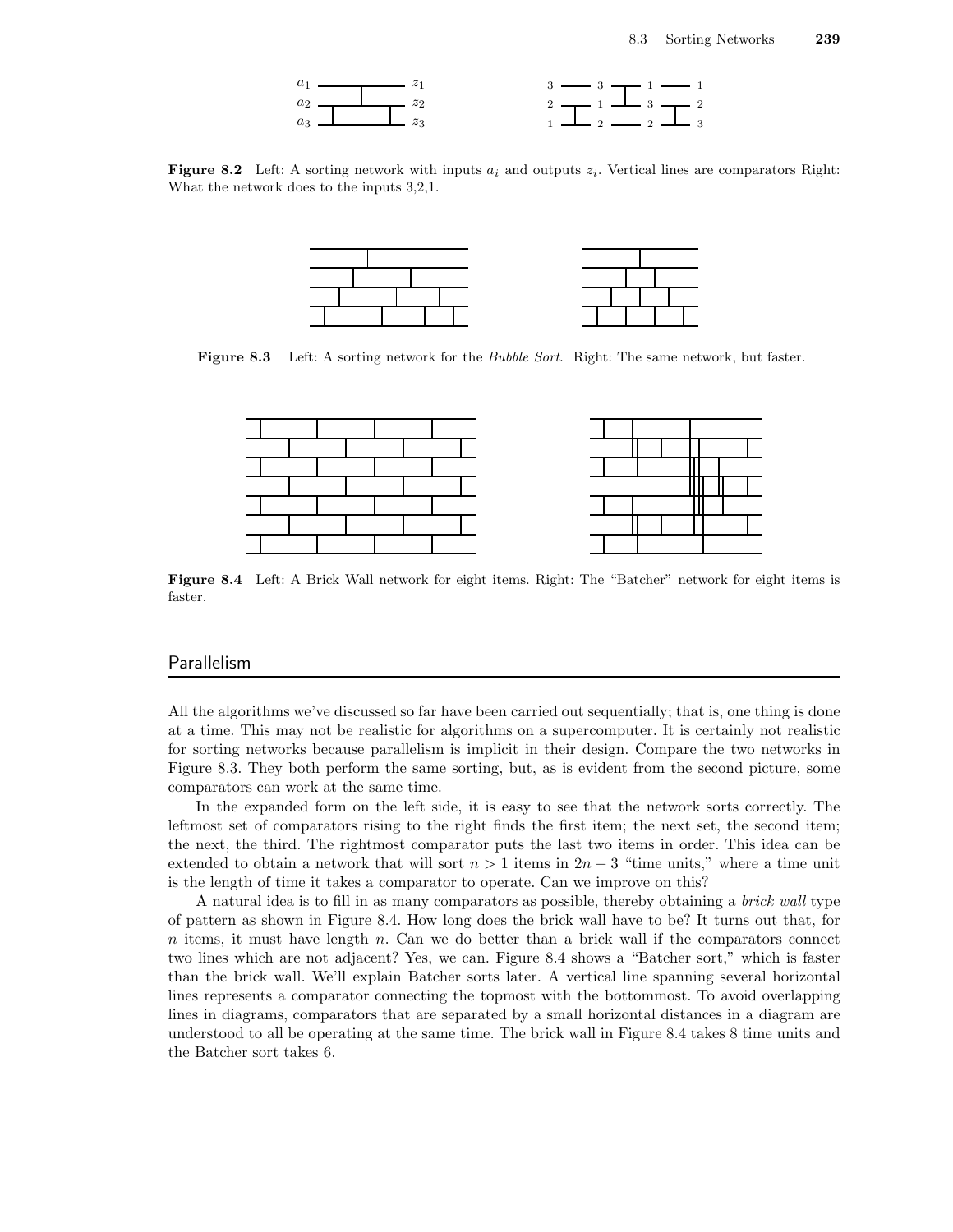

**Figure 8.2** Left: A sorting network with inputs  $a_i$  and outputs  $z_i$ . Vertical lines are comparators Right: What the network does to the inputs 3,2,1.



Figure 8.3 Left: A sorting network for the *Bubble Sort*. Right: The same network, but faster.



Figure 8.4 Left: A Brick Wall network for eight items. Right: The "Batcher" network for eight items is faster.

#### Parallelism

All the algorithms we've discussed so far have been carried out sequentially; that is, one thing is done at a time. This may not be realistic for algorithms on a supercomputer. It is certainly not realistic for sorting networks because parallelism is implicit in their design. Compare the two networks in Figure 8.3. They both perform the same sorting, but, as is evident from the second picture, some comparators can work at the same time.

In the expanded form on the left side, it is easy to see that the network sorts correctly. The leftmost set of comparators rising to the right finds the first item; the next set, the second item; the next, the third. The rightmost comparator puts the last two items in order. This idea can be extended to obtain a network that will sort  $n > 1$  items in  $2n - 3$  "time units," where a time unit is the length of time it takes a comparator to operate. Can we improve on this?

A natural idea is to fill in as many comparators as possible, thereby obtaining a brick wall type of pattern as shown in Figure 8.4. How long does the brick wall have to be? It turns out that, for  $n$  items, it must have length  $n$ . Can we do better than a brick wall if the comparators connect two lines which are not adjacent? Yes, we can. Figure 8.4 shows a "Batcher sort," which is faster than the brick wall. We'll explain Batcher sorts later. A vertical line spanning several horizontal lines represents a comparator connecting the topmost with the bottommost. To avoid overlapping lines in diagrams, comparators that are separated by a small horizontal distances in a diagram are understood to all be operating at the same time. The brick wall in Figure 8.4 takes 8 time units and the Batcher sort takes 6.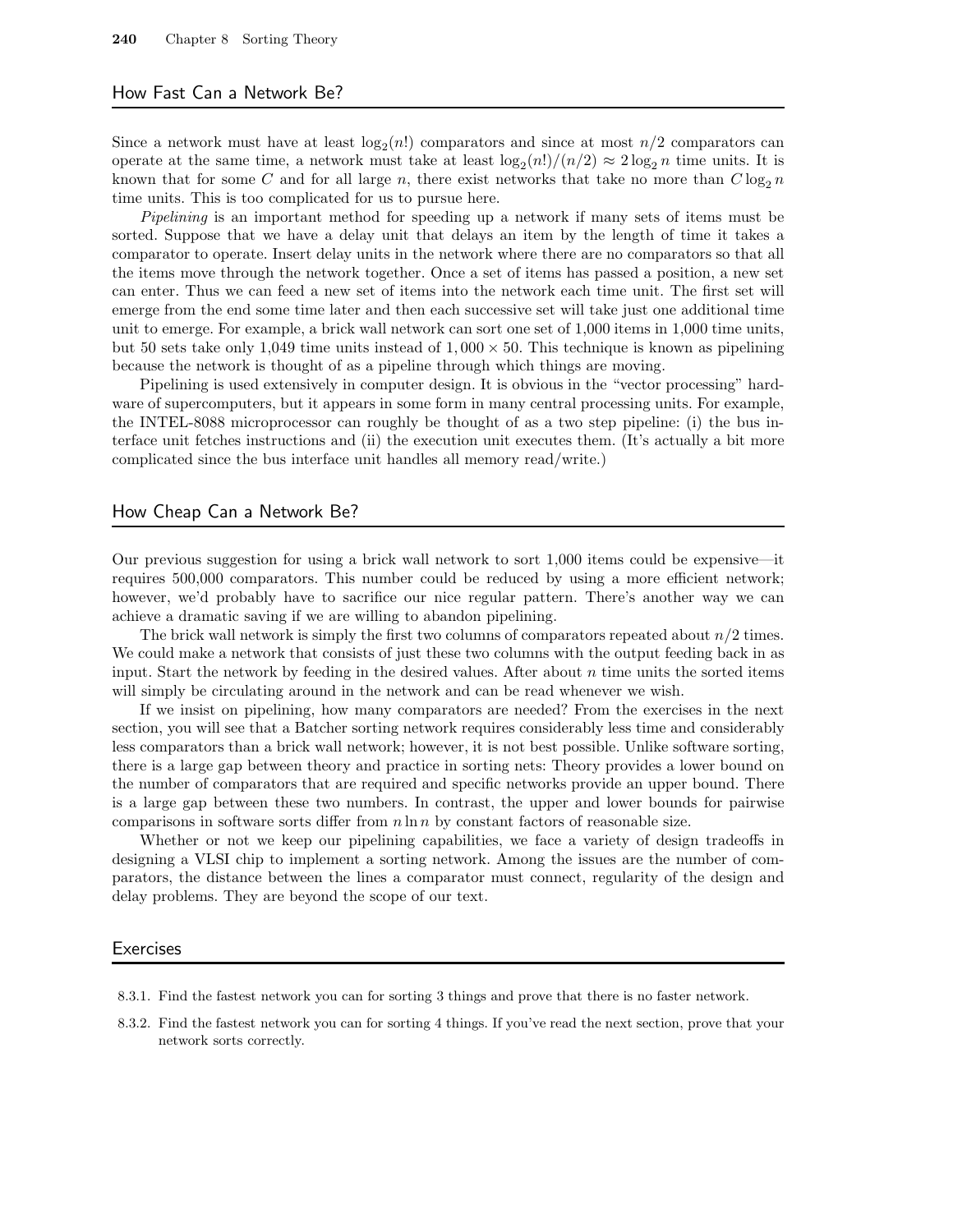## How Fast Can a Network Be?

Since a network must have at least  $log_2(n!)$  comparators and since at most  $n/2$  comparators can operate at the same time, a network must take at least  $\log_2(n!)/(n/2) \approx 2 \log_2 n$  time units. It is known that for some C and for all large n, there exist networks that take no more than  $C \log_2 n$ time units. This is too complicated for us to pursue here.

Pipelining is an important method for speeding up a network if many sets of items must be sorted. Suppose that we have a delay unit that delays an item by the length of time it takes a comparator to operate. Insert delay units in the network where there are no comparators so that all the items move through the network together. Once a set of items has passed a position, a new set can enter. Thus we can feed a new set of items into the network each time unit. The first set will emerge from the end some time later and then each successive set will take just one additional time unit to emerge. For example, a brick wall network can sort one set of 1,000 items in 1,000 time units, but 50 sets take only 1,049 time units instead of  $1,000 \times 50$ . This technique is known as pipelining because the network is thought of as a pipeline through which things are moving.

Pipelining is used extensively in computer design. It is obvious in the "vector processing" hardware of supercomputers, but it appears in some form in many central processing units. For example, the INTEL-8088 microprocessor can roughly be thought of as a two step pipeline: (i) the bus interface unit fetches instructions and (ii) the execution unit executes them. (It's actually a bit more complicated since the bus interface unit handles all memory read/write.)

## How Cheap Can a Network Be?

Our previous suggestion for using a brick wall network to sort 1,000 items could be expensive—it requires 500,000 comparators. This number could be reduced by using a more efficient network; however, we'd probably have to sacrifice our nice regular pattern. There's another way we can achieve a dramatic saving if we are willing to abandon pipelining.

The brick wall network is simply the first two columns of comparators repeated about  $n/2$  times. We could make a network that consists of just these two columns with the output feeding back in as input. Start the network by feeding in the desired values. After about  $n$  time units the sorted items will simply be circulating around in the network and can be read whenever we wish.

If we insist on pipelining, how many comparators are needed? From the exercises in the next section, you will see that a Batcher sorting network requires considerably less time and considerably less comparators than a brick wall network; however, it is not best possible. Unlike software sorting, there is a large gap between theory and practice in sorting nets: Theory provides a lower bound on the number of comparators that are required and specific networks provide an upper bound. There is a large gap between these two numbers. In contrast, the upper and lower bounds for pairwise comparisons in software sorts differ from  $n \ln n$  by constant factors of reasonable size.

Whether or not we keep our pipelining capabilities, we face a variety of design tradeoffs in designing a VLSI chip to implement a sorting network. Among the issues are the number of comparators, the distance between the lines a comparator must connect, regularity of the design and delay problems. They are beyond the scope of our text.

#### **Exercises**

- 8.3.1. Find the fastest network you can for sorting 3 things and prove that there is no faster network.
- 8.3.2. Find the fastest network you can for sorting 4 things. If you've read the next section, prove that your network sorts correctly.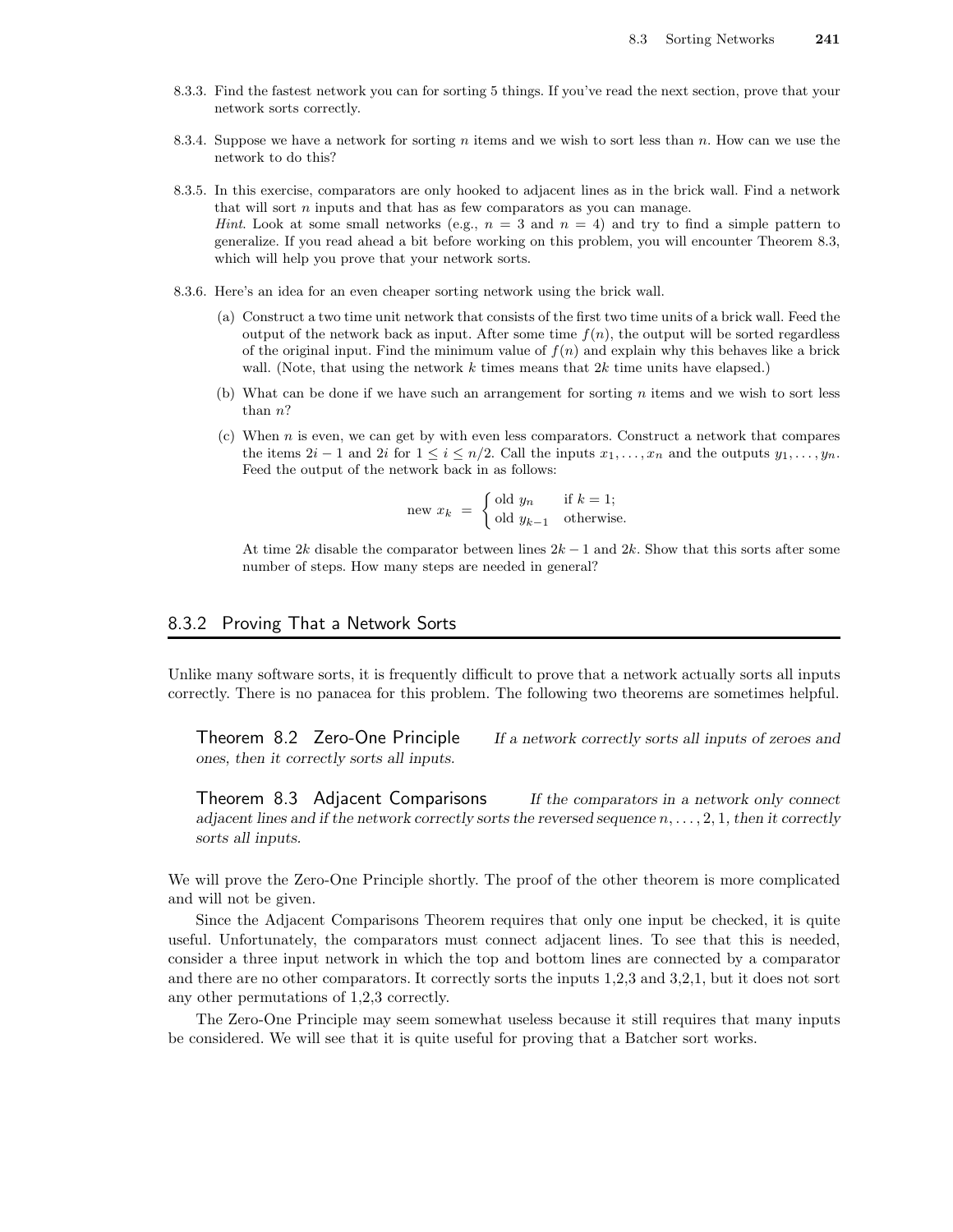- 8.3.3. Find the fastest network you can for sorting 5 things. If you've read the next section, prove that your network sorts correctly.
- 8.3.4. Suppose we have a network for sorting n items and we wish to sort less than n. How can we use the network to do this?
- 8.3.5. In this exercise, comparators are only hooked to adjacent lines as in the brick wall. Find a network that will sort  $n$  inputs and that has as few comparators as you can manage. *Hint.* Look at some small networks (e.g.,  $n = 3$  and  $n = 4$ ) and try to find a simple pattern to generalize. If you read ahead a bit before working on this problem, you will encounter Theorem 8.3, which will help you prove that your network sorts.
- 8.3.6. Here's an idea for an even cheaper sorting network using the brick wall.
	- (a) Construct a two time unit network that consists of the first two time units of a brick wall. Feed the output of the network back as input. After some time  $f(n)$ , the output will be sorted regardless of the original input. Find the minimum value of  $f(n)$  and explain why this behaves like a brick wall. (Note, that using the network  $k$  times means that  $2k$  time units have elapsed.)
	- (b) What can be done if we have such an arrangement for sorting n items and we wish to sort less than n?
	- (c) When n is even, we can get by with even less comparators. Construct a network that compares the items  $2i - 1$  and  $2i$  for  $1 \leq i \leq n/2$ . Call the inputs  $x_1, \ldots, x_n$  and the outputs  $y_1, \ldots, y_n$ . Feed the output of the network back in as follows:

new 
$$
x_k = \begin{cases} \text{old } y_n & \text{if } k = 1; \\ \text{old } y_{k-1} & \text{otherwise.} \end{cases}
$$

At time 2k disable the comparator between lines  $2k - 1$  and  $2k$ . Show that this sorts after some number of steps. How many steps are needed in general?

## 8.3.2 Proving That a Network Sorts

Unlike many software sorts, it is frequently difficult to prove that a network actually sorts all inputs correctly. There is no panacea for this problem. The following two theorems are sometimes helpful.

Theorem 8.2 Zero-One Principle If a network correctly sorts all inputs of zeroes and ones, then it correctly sorts all inputs.

Theorem 8.3 Adjacent Comparisons If the comparators in a network only connect adjacent lines and if the network correctly sorts the reversed sequence  $n, \ldots, 2, 1$ , then it correctly sorts all inputs.

We will prove the Zero-One Principle shortly. The proof of the other theorem is more complicated and will not be given.

Since the Adjacent Comparisons Theorem requires that only one input be checked, it is quite useful. Unfortunately, the comparators must connect adjacent lines. To see that this is needed, consider a three input network in which the top and bottom lines are connected by a comparator and there are no other comparators. It correctly sorts the inputs 1,2,3 and 3,2,1, but it does not sort any other permutations of 1,2,3 correctly.

The Zero-One Principle may seem somewhat useless because it still requires that many inputs be considered. We will see that it is quite useful for proving that a Batcher sort works.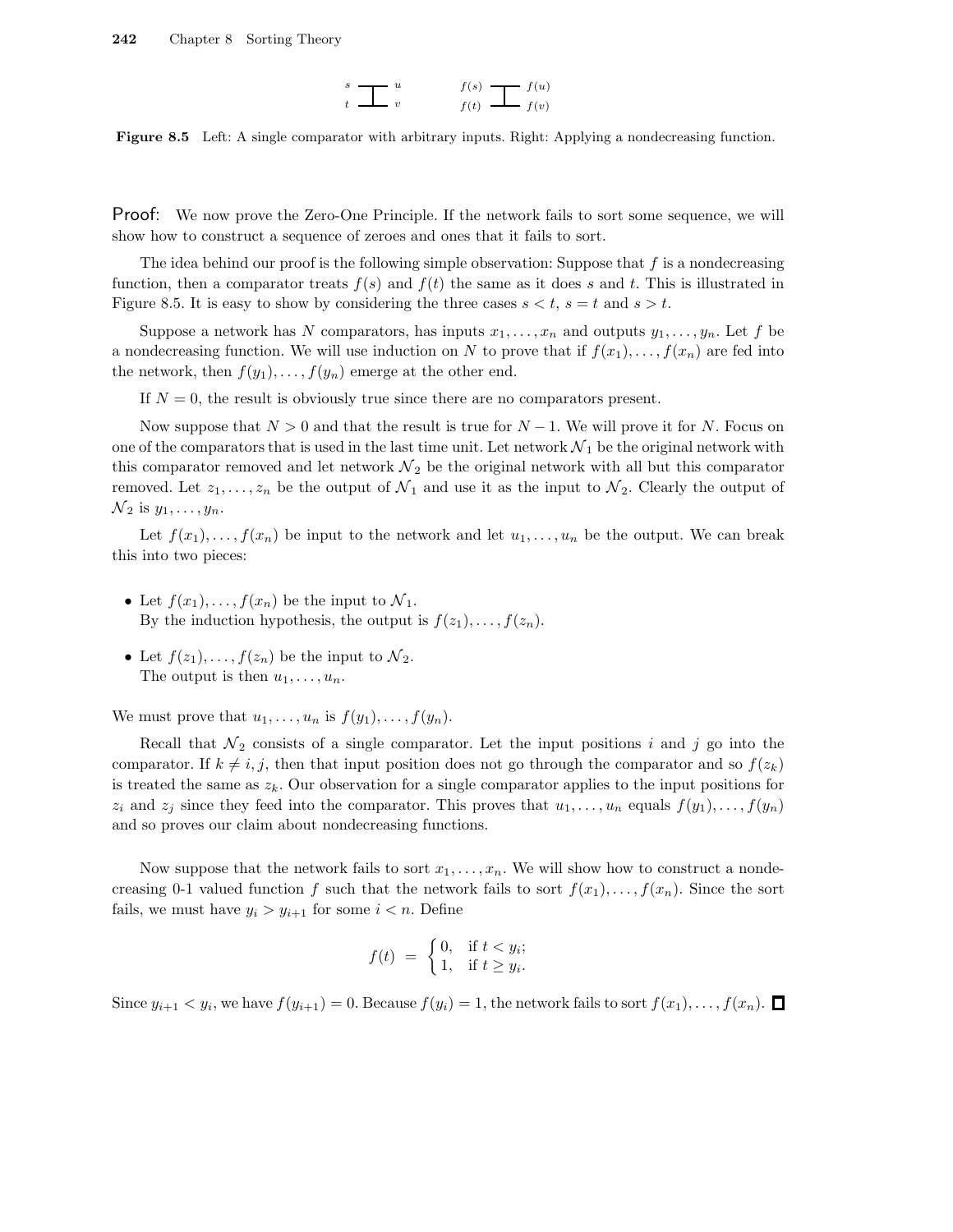$$
\begin{array}{ccc}\ns & \xrightarrow{\hspace{12mm}} u & f(s) & \xrightarrow{\hspace{12mm}} f(u) \\
t & \xrightarrow{\hspace{12mm}} v & f(t) & \xrightarrow{\hspace{12mm}} f(v)\n\end{array}
$$

Figure 8.5 Left: A single comparator with arbitrary inputs. Right: Applying a nondecreasing function.

Proof: We now prove the Zero-One Principle. If the network fails to sort some sequence, we will show how to construct a sequence of zeroes and ones that it fails to sort.

The idea behind our proof is the following simple observation: Suppose that  $f$  is a nondecreasing function, then a comparator treats  $f(s)$  and  $f(t)$  the same as it does s and t. This is illustrated in Figure 8.5. It is easy to show by considering the three cases  $s < t$ ,  $s = t$  and  $s > t$ .

Suppose a network has N comparators, has inputs  $x_1, \ldots, x_n$  and outputs  $y_1, \ldots, y_n$ . Let f be a nondecreasing function. We will use induction on N to prove that if  $f(x_1), \ldots, f(x_n)$  are fed into the network, then  $f(y_1), \ldots, f(y_n)$  emerge at the other end.

If  $N = 0$ , the result is obviously true since there are no comparators present.

Now suppose that  $N > 0$  and that the result is true for  $N-1$ . We will prove it for N. Focus on one of the comparators that is used in the last time unit. Let network  $\mathcal{N}_1$  be the original network with this comparator removed and let network  $\mathcal{N}_2$  be the original network with all but this comparator removed. Let  $z_1, \ldots, z_n$  be the output of  $\mathcal{N}_1$  and use it as the input to  $\mathcal{N}_2$ . Clearly the output of  $\mathcal{N}_2$  is  $y_1, \ldots, y_n$ .

Let  $f(x_1), \ldots, f(x_n)$  be input to the network and let  $u_1, \ldots, u_n$  be the output. We can break this into two pieces:

- Let  $f(x_1), \ldots, f(x_n)$  be the input to  $\mathcal{N}_1$ . By the induction hypothesis, the output is  $f(z_1), \ldots, f(z_n)$ .
- Let  $f(z_1), \ldots, f(z_n)$  be the input to  $\mathcal{N}_2$ . The output is then  $u_1, \ldots, u_n$ .

We must prove that  $u_1, \ldots, u_n$  is  $f(y_1), \ldots, f(y_n)$ .

Recall that  $\mathcal{N}_2$  consists of a single comparator. Let the input positions i and j go into the comparator. If  $k \neq i, j$ , then that input position does not go through the comparator and so  $f(z_k)$ is treated the same as  $z_k$ . Our observation for a single comparator applies to the input positions for  $z_i$  and  $z_j$  since they feed into the comparator. This proves that  $u_1, \ldots, u_n$  equals  $f(y_1), \ldots, f(y_n)$ and so proves our claim about nondecreasing functions.

Now suppose that the network fails to sort  $x_1, \ldots, x_n$ . We will show how to construct a nondecreasing 0-1 valued function f such that the network fails to sort  $f(x_1), \ldots, f(x_n)$ . Since the sort fails, we must have  $y_i > y_{i+1}$  for some  $i < n$ . Define

$$
f(t) = \begin{cases} 0, & \text{if } t < y_i; \\ 1, & \text{if } t \ge y_i. \end{cases}
$$

Since  $y_{i+1} < y_i$ , we have  $f(y_{i+1}) = 0$ . Because  $f(y_i) = 1$ , the network fails to sort  $f(x_1), \ldots, f(x_n)$ .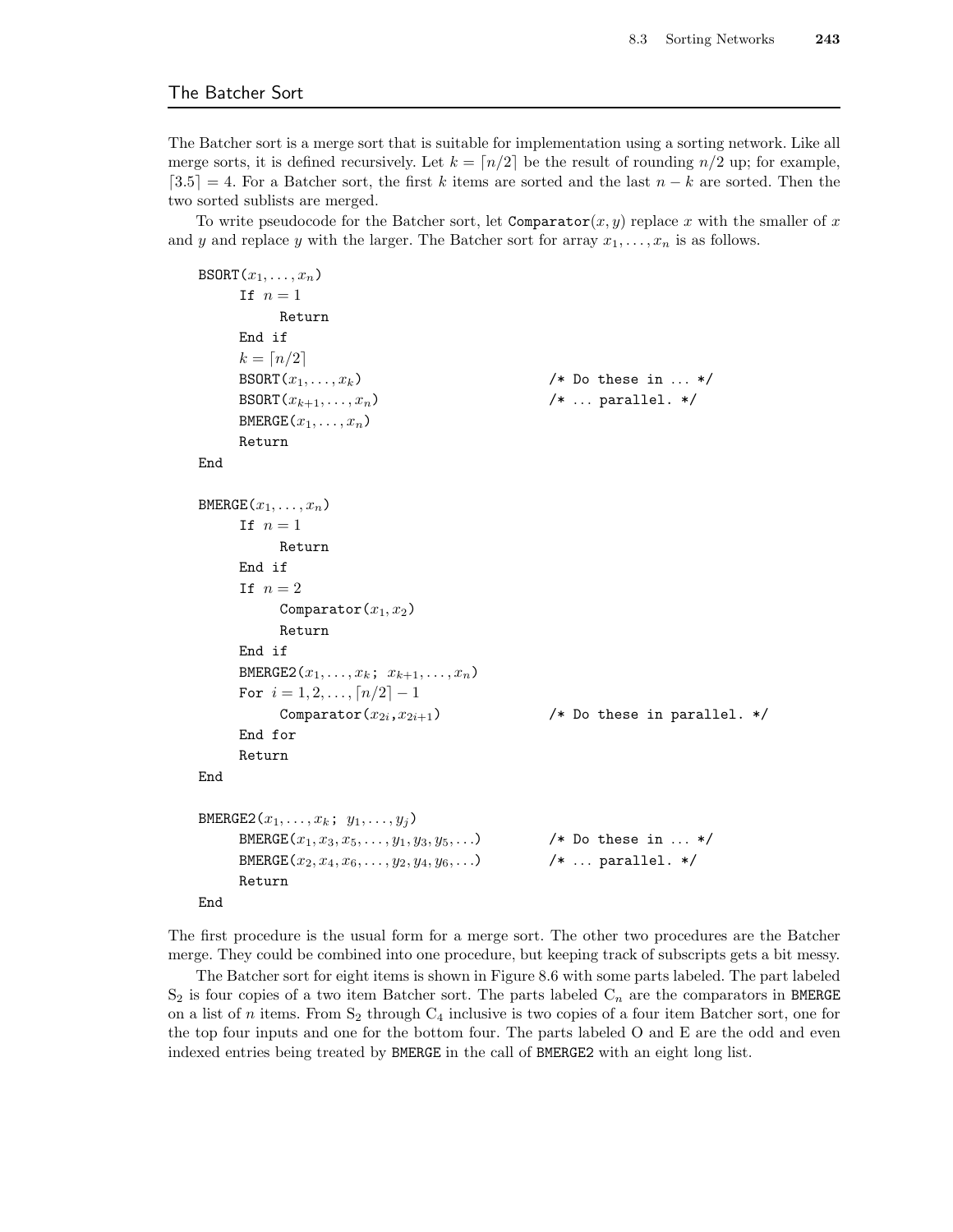The Batcher sort is a merge sort that is suitable for implementation using a sorting network. Like all merge sorts, it is defined recursively. Let  $k = \lfloor n/2 \rfloor$  be the result of rounding  $n/2$  up; for example,  $\lceil 3.5 \rceil = 4$ . For a Batcher sort, the first k items are sorted and the last  $n - k$  are sorted. Then the two sorted sublists are merged.

To write pseudocode for the Batcher sort, let Comparator $(x, y)$  replace x with the smaller of x and y and replace y with the larger. The Batcher sort for array  $x_1, \ldots, x_n$  is as follows.

```
BSORT(x_1, \ldots, x_n)If n=1Return
     End if
     k = \lceil n/2 \rceilBSORT(x_1, \ldots, x_k) /* Do these in ... */
     BSORT(x_{k+1}, \ldots, x_n) /* ... parallel. */
     BMERGE(x_1, \ldots, x_n)Return
End
BMERGE(x_1, \ldots, x_n)If n=1Return
     End if
     If n=2Comparator(x_1, x_2)Return
     End if
     BMERGE2(x_1, ..., x_k; x_{k+1}, ..., x_n)
     For i = 1, 2, ..., \lceil n/2 \rceil - 1Comparator(x_{2i},x_{2i+1}) /* Do these in parallel. */
     End for
     Return
End
BMERGE2(x_1, ..., x_k; y_1, ..., y_j)
     BMERGE(x_1, x_3, x_5, \ldots, y_1, y_3, y_5, \ldots) /* Do these in ... */
     BMERGE(x_2, x_4, x_6, \ldots, y_2, y_4, y_6, \ldots) /* ... parallel. */
     Return
End
```
The first procedure is the usual form for a merge sort. The other two procedures are the Batcher merge. They could be combined into one procedure, but keeping track of subscripts gets a bit messy.

The Batcher sort for eight items is shown in Figure 8.6 with some parts labeled. The part labeled  $S_2$  is four copies of a two item Batcher sort. The parts labeled  $C_n$  are the comparators in BMERGE on a list of n items. From  $S_2$  through  $C_4$  inclusive is two copies of a four item Batcher sort, one for the top four inputs and one for the bottom four. The parts labeled O and E are the odd and even indexed entries being treated by BMERGE in the call of BMERGE2 with an eight long list.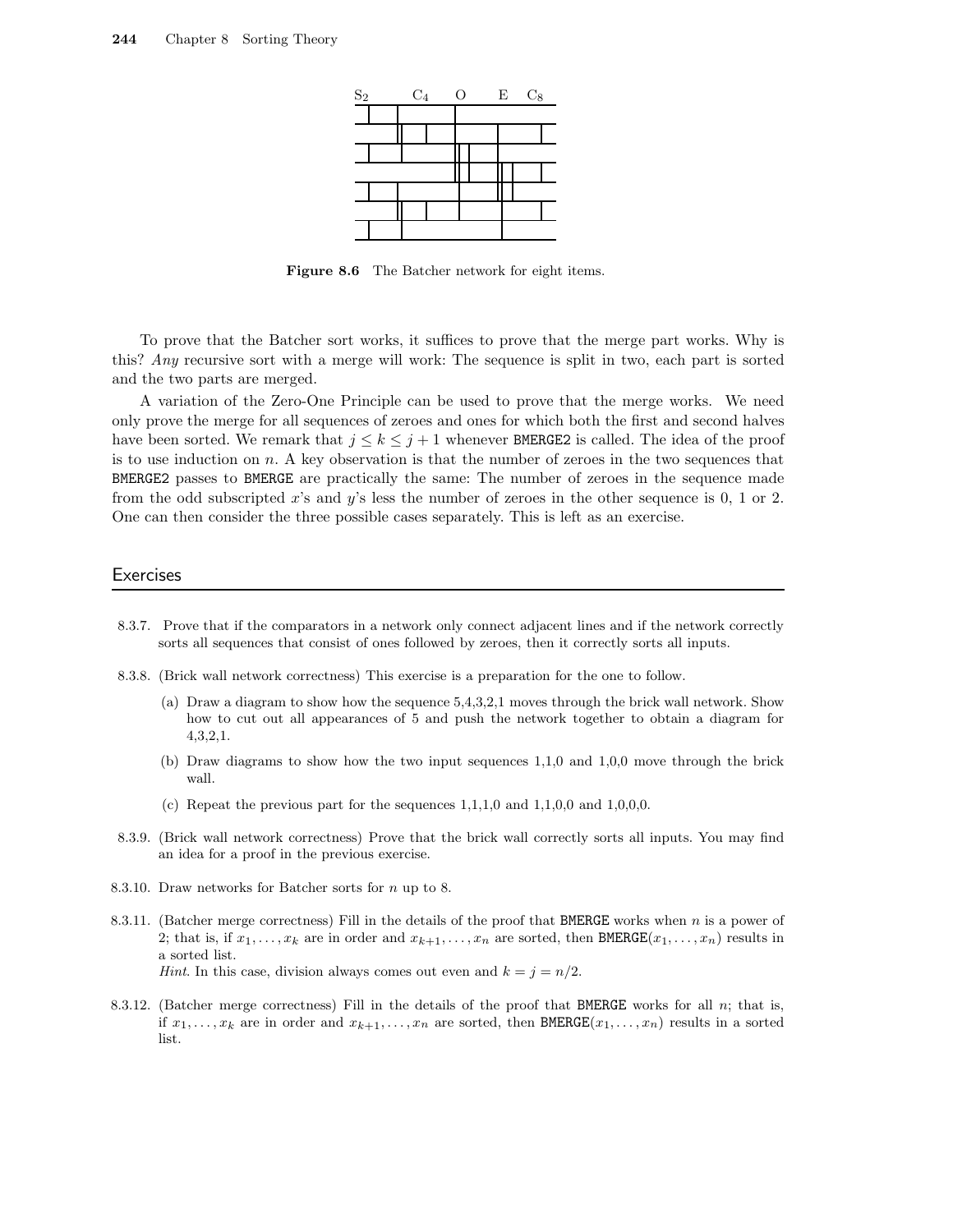

Figure 8.6 The Batcher network for eight items.

To prove that the Batcher sort works, it suffices to prove that the merge part works. Why is this? Any recursive sort with a merge will work: The sequence is split in two, each part is sorted and the two parts are merged.

A variation of the Zero-One Principle can be used to prove that the merge works. We need only prove the merge for all sequences of zeroes and ones for which both the first and second halves have been sorted. We remark that  $j \leq k \leq j+1$  whenever BMERGE2 is called. The idea of the proof is to use induction on n. A key observation is that the number of zeroes in the two sequences that BMERGE2 passes to BMERGE are practically the same: The number of zeroes in the sequence made from the odd subscripted x's and  $y$ 's less the number of zeroes in the other sequence is 0, 1 or 2. One can then consider the three possible cases separately. This is left as an exercise.

#### Exercises

- 8.3.7. Prove that if the comparators in a network only connect adjacent lines and if the network correctly sorts all sequences that consist of ones followed by zeroes, then it correctly sorts all inputs.
- 8.3.8. (Brick wall network correctness) This exercise is a preparation for the one to follow.
	- (a) Draw a diagram to show how the sequence 5,4,3,2,1 moves through the brick wall network. Show how to cut out all appearances of 5 and push the network together to obtain a diagram for 4,3,2,1.
	- (b) Draw diagrams to show how the two input sequences 1,1,0 and 1,0,0 move through the brick wall.
	- (c) Repeat the previous part for the sequences  $1,1,1,0$  and  $1,1,0,0$  and  $1,0,0,0$ .
- 8.3.9. (Brick wall network correctness) Prove that the brick wall correctly sorts all inputs. You may find an idea for a proof in the previous exercise.
- 8.3.10. Draw networks for Batcher sorts for n up to 8.
- 8.3.11. (Batcher merge correctness) Fill in the details of the proof that BMERGE works when n is a power of 2; that is, if  $x_1, \ldots, x_k$  are in order and  $x_{k+1}, \ldots, x_n$  are sorted, then BMERGE $(x_1, \ldots, x_n)$  results in a sorted list. *Hint*. In this case, division always comes out even and  $k = j = n/2$ .
- 8.3.12. (Batcher merge correctness) Fill in the details of the proof that BMERGE works for all  $n$ ; that is, if  $x_1, \ldots, x_k$  are in order and  $x_{k+1}, \ldots, x_n$  are sorted, then BMERGE $(x_1, \ldots, x_n)$  results in a sorted list.